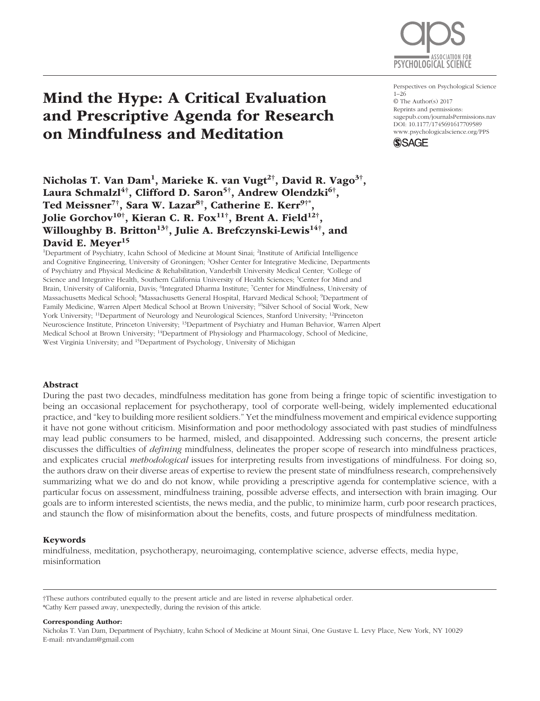

# Mind the Hype: A Critical Evaluation and Prescriptive Agenda for Research on Mindfulness and Meditation

Nicholas T. Van Dam<sup>1</sup>, Marieke K. van Vugt<sup>2†</sup>, David R. Vago<sup>3†</sup>, Laura Schmalzl<sup>4†</sup>, Clifford D. Saron<sup>5†</sup>, Andrew Olendzki<sup>6†</sup>, Ted Meissner<sup>7†</sup>, Sara W. Lazar<sup>8†</sup>, Catherine E. Kerr<sup>9†\*</sup>, Jolie Gorchov<sup>10†</sup>, Kieran C. R. Fox<sup>11†</sup>, Brent A. Field<sup>12†</sup>, Willoughby B. Britton<sup>13†</sup>, Julie A. Brefczynski-Lewis<sup>14†</sup>, and David E. Meyer<sup>15</sup>

<sup>1</sup>Department of Psychiatry, Icahn School of Medicine at Mount Sinai; <sup>2</sup>Institute of Artificial Intelligence and Cognitive Engineering, University of Groningen; <sup>3</sup>Osher Center for Integrative Medicine, Departments of Psychiatry and Physical Medicine & Rehabilitation, Vanderbilt University Medical Center; <sup>4</sup>College of Science and Integrative Health, Southern California University of Health Sciences; <sup>5</sup>Center for Mind and Brain, University of California, Davis; <sup>6</sup>Integrated Dharma Institute; <sup>7</sup>Center for Mindfulness, University of Massachusetts Medical School; <sup>8</sup>Massachusetts General Hospital, Harvard Medical School; <sup>9</sup>Department of Family Medicine, Warren Alpert Medical School at Brown University; 10Silver School of Social Work, New York University; <sup>11</sup>Department of Neurology and Neurological Sciences, Stanford University; <sup>12</sup>Princeton Neuroscience Institute, Princeton University; 13Department of Psychiatry and Human Behavior, Warren Alpert Medical School at Brown University; <sup>14</sup>Department of Physiology and Pharmacology, School of Medicine, West Virginia University; and 15Department of Psychology, University of Michigan

#### Abstract

During the past two decades, mindfulness meditation has gone from being a fringe topic of scientific investigation to being an occasional replacement for psychotherapy, tool of corporate well-being, widely implemented educational practice, and "key to building more resilient soldiers." Yet the mindfulness movement and empirical evidence supporting it have not gone without criticism. Misinformation and poor methodology associated with past studies of mindfulness may lead public consumers to be harmed, misled, and disappointed. Addressing such concerns, the present article discusses the difficulties of *defining* mindfulness, delineates the proper scope of research into mindfulness practices, and explicates crucial *methodological* issues for interpreting results from investigations of mindfulness. For doing so, the authors draw on their diverse areas of expertise to review the present state of mindfulness research, comprehensively summarizing what we do and do not know, while providing a prescriptive agenda for contemplative science, with a particular focus on assessment, mindfulness training, possible adverse effects, and intersection with brain imaging. Our goals are to inform interested scientists, the news media, and the public, to minimize harm, curb poor research practices, and staunch the flow of misinformation about the benefits, costs, and future prospects of mindfulness meditation.

#### Keywords

mindfulness, meditation, psychotherapy, neuroimaging, contemplative science, adverse effects, media hype, misinformation

#### Corresponding Author:

Nicholas T. Van Dam, Department of Psychiatry, Icahn School of Medicine at Mount Sinai, One Gustave L. Levy Place, New York, NY 10029 E-mail: ntvandam@gmail.com

DOI: 10.1177/1745691617709589 Perspectives on Psychological Science 1–26 © The Author(s) 2017 Reprints and permissions: sagepub.com/journalsPermissions.nav www.psychologicalscience.org/PPS



<sup>†</sup>These authors contributed equally to the present article and are listed in reverse alphabetical order. \*Cathy Kerr passed away, unexpectedly, during the revision of this article.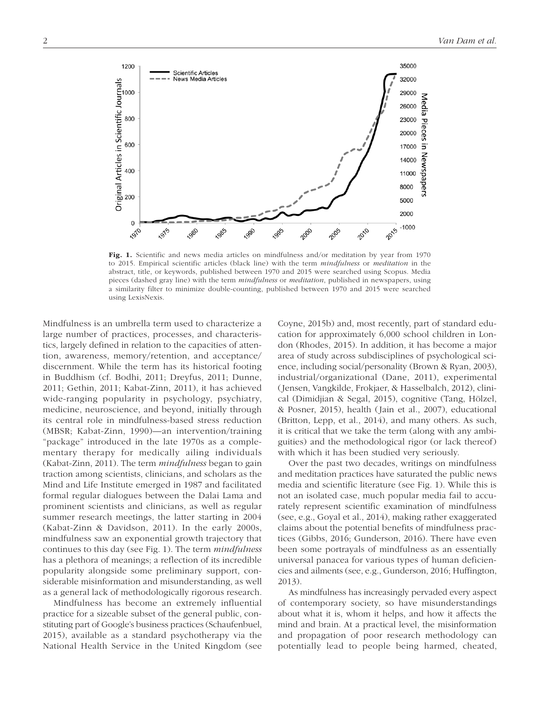

Fig. 1. Scientific and news media articles on mindfulness and/or meditation by year from 1970 to 2015. Empirical scientific articles (black line) with the term *mindfulness* or *meditation* in the abstract, title, or keywords, published between 1970 and 2015 were searched using Scopus. Media pieces (dashed gray line) with the term *mindfulness* or *meditation*, published in newspapers, using a similarity filter to minimize double-counting, published between 1970 and 2015 were searched using LexisNexis.

Mindfulness is an umbrella term used to characterize a large number of practices, processes, and characteristics, largely defined in relation to the capacities of attention, awareness, memory/retention, and acceptance/ discernment. While the term has its historical footing in Buddhism (cf. Bodhi, 2011; Dreyfus, 2011; Dunne, 2011; Gethin, 2011; Kabat-Zinn, 2011), it has achieved wide-ranging popularity in psychology, psychiatry, medicine, neuroscience, and beyond, initially through its central role in mindfulness-based stress reduction (MBSR; Kabat-Zinn, 1990)—an intervention/training "package" introduced in the late 1970s as a complementary therapy for medically ailing individuals (Kabat-Zinn, 2011). The term *mindfulness* began to gain traction among scientists, clinicians, and scholars as the Mind and Life Institute emerged in 1987 and facilitated formal regular dialogues between the Dalai Lama and prominent scientists and clinicians, as well as regular summer research meetings, the latter starting in 2004 (Kabat-Zinn & Davidson, 2011). In the early 2000s, mindfulness saw an exponential growth trajectory that continues to this day (see Fig. 1). The term *mindfulness* has a plethora of meanings; a reflection of its incredible popularity alongside some preliminary support, considerable misinformation and misunderstanding, as well as a general lack of methodologically rigorous research.

Mindfulness has become an extremely influential practice for a sizeable subset of the general public, constituting part of Google's business practices (Schaufenbuel, 2015), available as a standard psychotherapy via the National Health Service in the United Kingdom (see Coyne, 2015b) and, most recently, part of standard education for approximately 6,000 school children in London (Rhodes, 2015). In addition, it has become a major area of study across subdisciplines of psychological science, including social/personality (Brown & Ryan, 2003), industrial/organizational (Dane, 2011), experimental (Jensen, Vangkilde, Frokjaer, & Hasselbalch, 2012), clinical (Dimidjian & Segal, 2015), cognitive (Tang, Hölzel, & Posner, 2015), health (Jain et al., 2007), educational (Britton, Lepp, et al., 2014), and many others. As such, it is critical that we take the term (along with any ambiguities) and the methodological rigor (or lack thereof) with which it has been studied very seriously.

Over the past two decades, writings on mindfulness and meditation practices have saturated the public news media and scientific literature (see Fig. 1). While this is not an isolated case, much popular media fail to accurately represent scientific examination of mindfulness (see, e.g., Goyal et al., 2014), making rather exaggerated claims about the potential benefits of mindfulness practices (Gibbs, 2016; Gunderson, 2016). There have even been some portrayals of mindfulness as an essentially universal panacea for various types of human deficiencies and ailments (see, e.g., Gunderson, 2016; Huffington, 2013).

As mindfulness has increasingly pervaded every aspect of contemporary society, so have misunderstandings about what it is, whom it helps, and how it affects the mind and brain. At a practical level, the misinformation and propagation of poor research methodology can potentially lead to people being harmed, cheated,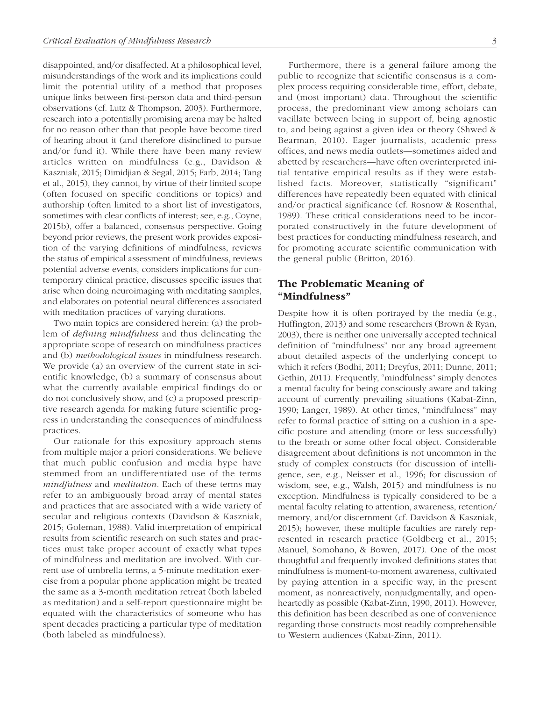disappointed, and/or disaffected. At a philosophical level, misunderstandings of the work and its implications could limit the potential utility of a method that proposes unique links between first-person data and third-person observations (cf. Lutz & Thompson, 2003). Furthermore, research into a potentially promising arena may be halted for no reason other than that people have become tired of hearing about it (and therefore disinclined to pursue and/or fund it). While there have been many review articles written on mindfulness (e.g., Davidson & Kaszniak, 2015; Dimidjian & Segal, 2015; Farb, 2014; Tang et al., 2015), they cannot, by virtue of their limited scope (often focused on specific conditions or topics) and authorship (often limited to a short list of investigators, sometimes with clear conflicts of interest; see, e.g., Coyne, 2015b), offer a balanced, consensus perspective. Going beyond prior reviews, the present work provides exposition of the varying definitions of mindfulness, reviews the status of empirical assessment of mindfulness, reviews potential adverse events, considers implications for contemporary clinical practice, discusses specific issues that arise when doing neuroimaging with meditating samples, and elaborates on potential neural differences associated with meditation practices of varying durations.

Two main topics are considered herein: (a) the problem of *defining mindfulness* and thus delineating the appropriate scope of research on mindfulness practices and (b) *methodological issues* in mindfulness research. We provide (a) an overview of the current state in scientific knowledge, (b) a summary of consensus about what the currently available empirical findings do or do not conclusively show, and (c) a proposed prescriptive research agenda for making future scientific progress in understanding the consequences of mindfulness practices.

Our rationale for this expository approach stems from multiple major a priori considerations. We believe that much public confusion and media hype have stemmed from an undifferentiated use of the terms *mindfulness* and *meditation*. Each of these terms may refer to an ambiguously broad array of mental states and practices that are associated with a wide variety of secular and religious contexts (Davidson & Kaszniak, 2015; Goleman, 1988). Valid interpretation of empirical results from scientific research on such states and practices must take proper account of exactly what types of mindfulness and meditation are involved. With current use of umbrella terms, a 5-minute meditation exercise from a popular phone application might be treated the same as a 3-month meditation retreat (both labeled as meditation) and a self-report questionnaire might be equated with the characteristics of someone who has spent decades practicing a particular type of meditation (both labeled as mindfulness).

Furthermore, there is a general failure among the public to recognize that scientific consensus is a complex process requiring considerable time, effort, debate, and (most important) data. Throughout the scientific process, the predominant view among scholars can vacillate between being in support of, being agnostic to, and being against a given idea or theory (Shwed & Bearman, 2010). Eager journalists, academic press offices, and news media outlets—sometimes aided and abetted by researchers—have often overinterpreted initial tentative empirical results as if they were established facts. Moreover, statistically "significant" differences have repeatedly been equated with clinical and/or practical significance (cf. Rosnow & Rosenthal, 1989). These critical considerations need to be incorporated constructively in the future development of best practices for conducting mindfulness research, and for promoting accurate scientific communication with the general public (Britton, 2016).

### The Problematic Meaning of "Mindfulness"

Despite how it is often portrayed by the media (e.g., Huffington, 2013) and some researchers (Brown & Ryan, 2003), there is neither one universally accepted technical definition of "mindfulness" nor any broad agreement about detailed aspects of the underlying concept to which it refers (Bodhi, 2011; Dreyfus, 2011; Dunne, 2011; Gethin, 2011). Frequently, "mindfulness" simply denotes a mental faculty for being consciously aware and taking account of currently prevailing situations (Kabat-Zinn, 1990; Langer, 1989). At other times, "mindfulness" may refer to formal practice of sitting on a cushion in a specific posture and attending (more or less successfully) to the breath or some other focal object. Considerable disagreement about definitions is not uncommon in the study of complex constructs (for discussion of intelligence, see, e.g., Neisser et al., 1996; for discussion of wisdom, see, e.g., Walsh, 2015) and mindfulness is no exception. Mindfulness is typically considered to be a mental faculty relating to attention, awareness, retention/ memory, and/or discernment (cf. Davidson & Kaszniak, 2015); however, these multiple faculties are rarely represented in research practice (Goldberg et al., 2015; Manuel, Somohano, & Bowen, 2017). One of the most thoughtful and frequently invoked definitions states that mindfulness is moment-to-moment awareness, cultivated by paying attention in a specific way, in the present moment, as nonreactively, nonjudgmentally, and openheartedly as possible (Kabat-Zinn, 1990, 2011). However, this definition has been described as one of convenience regarding those constructs most readily comprehensible to Western audiences (Kabat-Zinn, 2011).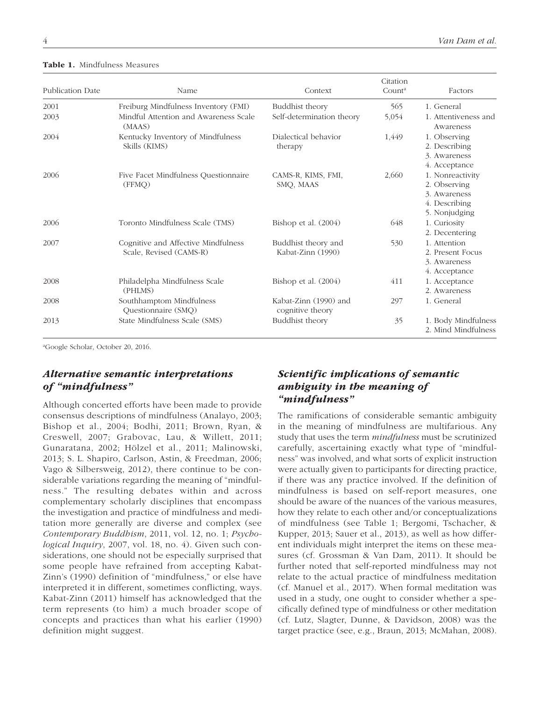#### Table 1. Mindfulness Measures

| <b>Publication Date</b> | Name                                                           | Context                                   | Citation<br>Count <sup>a</sup> | Factors                                                                            |
|-------------------------|----------------------------------------------------------------|-------------------------------------------|--------------------------------|------------------------------------------------------------------------------------|
| 2001                    | Freiburg Mindfulness Inventory (FMI)                           | Buddhist theory                           | 565                            | 1. General                                                                         |
| 2003                    | Mindful Attention and Awareness Scale<br>(MAAS)                | Self-determination theory                 | 5,054                          | 1. Attentiveness and<br>Awareness                                                  |
| 2004                    | Kentucky Inventory of Mindfulness<br>Skills (KIMS)             | Dialectical behavior<br>therapy           | 1,449                          | 1. Observing<br>2. Describing<br>3. Awareness<br>4. Acceptance                     |
| 2006                    | Five Facet Mindfulness Questionnaire<br>(FFMQ)                 | CAMS-R, KIMS, FMI,<br>SMQ, MAAS           | 2,660                          | 1. Nonreactivity<br>2. Observing<br>3. Awareness<br>4. Describing<br>5. Nonjudging |
| 2006                    | Toronto Mindfulness Scale (TMS)                                | Bishop et al. (2004)                      | 648                            | 1. Curiosity<br>2. Decentering                                                     |
| 2007                    | Cognitive and Affective Mindfulness<br>Scale, Revised (CAMS-R) | Buddhist theory and<br>Kabat-Zinn (1990)  | 530                            | 1. Attention<br>2. Present Focus<br>3. Awareness<br>4. Acceptance                  |
| 2008                    | Philadelpha Mindfulness Scale<br>(PHLMS)                       | Bishop et al. $(2004)$                    | 411                            | 1. Acceptance<br>2. Awareness                                                      |
| 2008                    | Southhamptom Mindfulness<br>Questionnaire (SMQ)                | Kabat-Zinn (1990) and<br>cognitive theory | 297                            | 1. General                                                                         |
| 2013                    | State Mindfulness Scale (SMS)                                  | Buddhist theory                           | 35                             | 1. Body Mindfulness<br>2. Mind Mindfulness                                         |

a Google Scholar, October 20, 2016.

# *Alternative semantic interpretations of "mindfulness"*

Although concerted efforts have been made to provide consensus descriptions of mindfulness (Analayo, 2003; Bishop et al., 2004; Bodhi, 2011; Brown, Ryan, & Creswell, 2007; Grabovac, Lau, & Willett, 2011; Gunaratana, 2002; Hölzel et al., 2011; Malinowski, 2013; S. L. Shapiro, Carlson, Astin, & Freedman, 2006; Vago & Silbersweig, 2012), there continue to be considerable variations regarding the meaning of "mindfulness." The resulting debates within and across complementary scholarly disciplines that encompass the investigation and practice of mindfulness and meditation more generally are diverse and complex (see *Contemporary Buddhism*, 2011, vol. 12, no. 1; *Psychological Inquiry*, 2007, vol. 18, no. 4). Given such considerations, one should not be especially surprised that some people have refrained from accepting Kabat-Zinn's (1990) definition of "mindfulness," or else have interpreted it in different, sometimes conflicting, ways. Kabat-Zinn (2011) himself has acknowledged that the term represents (to him) a much broader scope of concepts and practices than what his earlier (1990) definition might suggest.

# *Scientific implications of semantic ambiguity in the meaning of "mindfulness"*

The ramifications of considerable semantic ambiguity in the meaning of mindfulness are multifarious. Any study that uses the term *mindfulness* must be scrutinized carefully, ascertaining exactly what type of "mindfulness" was involved, and what sorts of explicit instruction were actually given to participants for directing practice, if there was any practice involved. If the definition of mindfulness is based on self-report measures, one should be aware of the nuances of the various measures, how they relate to each other and/or conceptualizations of mindfulness (see Table 1; Bergomi, Tschacher, & Kupper, 2013; Sauer et al., 2013), as well as how different individuals might interpret the items on these measures (cf. Grossman & Van Dam, 2011). It should be further noted that self-reported mindfulness may not relate to the actual practice of mindfulness meditation (cf. Manuel et al., 2017). When formal meditation was used in a study, one ought to consider whether a specifically defined type of mindfulness or other meditation (cf. Lutz, Slagter, Dunne, & Davidson, 2008) was the target practice (see, e.g., Braun, 2013; McMahan, 2008).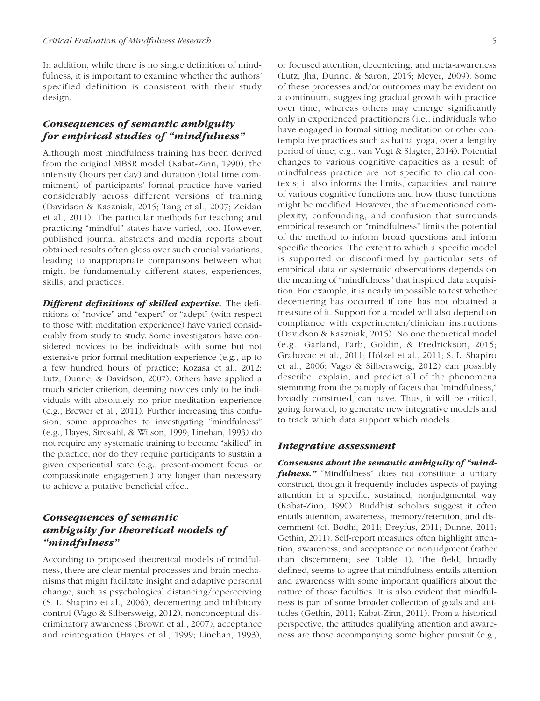In addition, while there is no single definition of mindfulness, it is important to examine whether the authors' specified definition is consistent with their study design.

### *Consequences of semantic ambiguity for empirical studies of "mindfulness"*

Although most mindfulness training has been derived from the original MBSR model (Kabat-Zinn, 1990), the intensity (hours per day) and duration (total time commitment) of participants' formal practice have varied considerably across different versions of training (Davidson & Kaszniak, 2015; Tang et al., 2007; Zeidan et al., 2011). The particular methods for teaching and practicing "mindful" states have varied, too. However, published journal abstracts and media reports about obtained results often gloss over such crucial variations, leading to inappropriate comparisons between what might be fundamentally different states, experiences, skills, and practices.

*Different definitions of skilled expertise.* The definitions of "novice" and "expert" or "adept" (with respect to those with meditation experience) have varied considerably from study to study. Some investigators have considered novices to be individuals with some but not extensive prior formal meditation experience (e.g., up to a few hundred hours of practice; Kozasa et al., 2012; Lutz, Dunne, & Davidson, 2007). Others have applied a much stricter criterion, deeming novices only to be individuals with absolutely no prior meditation experience (e.g., Brewer et al., 2011). Further increasing this confusion, some approaches to investigating "mindfulness" (e.g., Hayes, Strosahl, & Wilson, 1999; Linehan, 1993) do not require any systematic training to become "skilled" in the practice, nor do they require participants to sustain a given experiential state (e.g., present-moment focus, or compassionate engagement) any longer than necessary to achieve a putative beneficial effect.

## *Consequences of semantic ambiguity for theoretical models of "mindfulness"*

According to proposed theoretical models of mindfulness, there are clear mental processes and brain mechanisms that might facilitate insight and adaptive personal change, such as psychological distancing/reperceiving (S. L. Shapiro et al., 2006), decentering and inhibitory control (Vago & Silbersweig, 2012), nonconceptual discriminatory awareness (Brown et al., 2007), acceptance and reintegration (Hayes et al., 1999; Linehan, 1993), or focused attention, decentering, and meta-awareness (Lutz, Jha, Dunne, & Saron, 2015; Meyer, 2009). Some of these processes and/or outcomes may be evident on a continuum, suggesting gradual growth with practice over time, whereas others may emerge significantly only in experienced practitioners (i.e., individuals who have engaged in formal sitting meditation or other contemplative practices such as hatha yoga, over a lengthy period of time; e.g., van Vugt & Slagter, 2014). Potential changes to various cognitive capacities as a result of mindfulness practice are not specific to clinical contexts; it also informs the limits, capacities, and nature of various cognitive functions and how those functions might be modified. However, the aforementioned complexity, confounding, and confusion that surrounds empirical research on "mindfulness" limits the potential of the method to inform broad questions and inform specific theories. The extent to which a specific model is supported or disconfirmed by particular sets of empirical data or systematic observations depends on the meaning of "mindfulness" that inspired data acquisition. For example, it is nearly impossible to test whether decentering has occurred if one has not obtained a measure of it. Support for a model will also depend on compliance with experimenter/clinician instructions (Davidson & Kaszniak, 2015). No one theoretical model (e.g., Garland, Farb, Goldin, & Fredrickson, 2015; Grabovac et al., 2011; Hölzel et al., 2011; S. L. Shapiro et al., 2006; Vago & Silbersweig, 2012) can possibly describe, explain, and predict all of the phenomena stemming from the panoply of facets that "mindfulness," broadly construed, can have. Thus, it will be critical, going forward, to generate new integrative models and to track which data support which models.

#### *Integrative assessment*

*Consensus about the semantic ambiguity of "mindfulness."* "Mindfulness" does not constitute a unitary construct, though it frequently includes aspects of paying attention in a specific, sustained, nonjudgmental way (Kabat-Zinn, 1990). Buddhist scholars suggest it often entails attention, awareness, memory/retention, and discernment (cf. Bodhi, 2011; Dreyfus, 2011; Dunne, 2011; Gethin, 2011). Self-report measures often highlight attention, awareness, and acceptance or nonjudgment (rather than discernment; see Table 1). The field, broadly defined, seems to agree that mindfulness entails attention and awareness with some important qualifiers about the nature of those faculties. It is also evident that mindfulness is part of some broader collection of goals and attitudes (Gethin, 2011; Kabat-Zinn, 2011). From a historical perspective, the attitudes qualifying attention and awareness are those accompanying some higher pursuit (e.g.,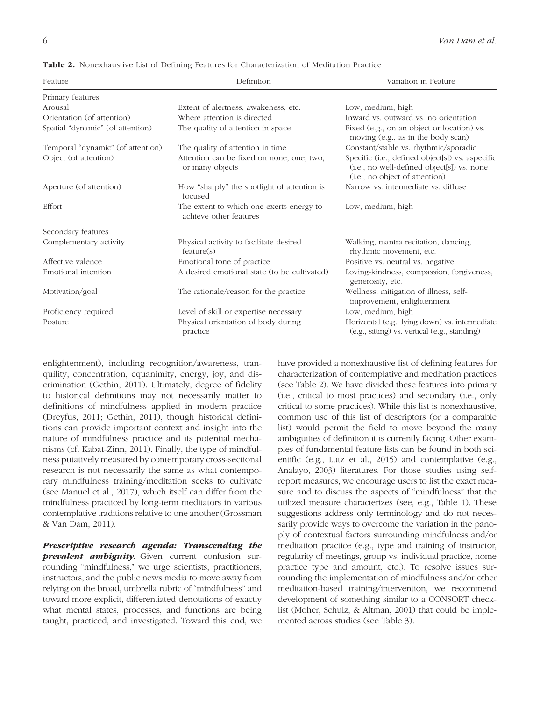| Feature                           | Definition                                                         | Variation in Feature                                                                                                             |
|-----------------------------------|--------------------------------------------------------------------|----------------------------------------------------------------------------------------------------------------------------------|
| Primary features                  |                                                                    |                                                                                                                                  |
| Arousal                           | Extent of alertness, awakeness, etc.                               | Low, medium, high                                                                                                                |
| Orientation (of attention)        | Where attention is directed                                        | Inward vs. outward vs. no orientation                                                                                            |
| Spatial "dynamic" (of attention)  | The quality of attention in space                                  | Fixed (e.g., on an object or location) vs.<br>moving (e.g., as in the body scan)                                                 |
| Temporal "dynamic" (of attention) | The quality of attention in time                                   | Constant/stable vs. rhythmic/sporadic                                                                                            |
| Object (of attention)             | Attention can be fixed on none, one, two,<br>or many objects       | Specific (i.e., defined object[s]) vs. aspecific<br>(i.e., no well-defined object[s]) vs. none<br>(i.e., no object of attention) |
| Aperture (of attention)           | How "sharply" the spotlight of attention is<br>focused             | Narrow vs. intermediate vs. diffuse                                                                                              |
| Effort                            | The extent to which one exerts energy to<br>achieve other features | Low, medium, high                                                                                                                |
| Secondary features                |                                                                    |                                                                                                                                  |
| Complementary activity            | Physical activity to facilitate desired<br>feature(s)              | Walking, mantra recitation, dancing,<br>rhythmic movement, etc.                                                                  |
| Affective valence                 | Emotional tone of practice                                         | Positive vs. neutral vs. negative                                                                                                |
| Emotional intention               | A desired emotional state (to be cultivated)                       | Loving-kindness, compassion, forgiveness,<br>generosity, etc.                                                                    |
| Motivation/goal                   | The rationale/reason for the practice                              | Wellness, mitigation of illness, self-<br>improvement, enlightenment                                                             |
| Proficiency required              | Level of skill or expertise necessary                              | Low, medium, high                                                                                                                |
| Posture                           | Physical orientation of body during<br>practice                    | Horizontal (e.g., lying down) vs. intermediate<br>(e.g., sitting) vs. vertical (e.g., standing)                                  |

Table 2. Nonexhaustive List of Defining Features for Characterization of Meditation Practice

enlightenment), including recognition/awareness, tranquility, concentration, equanimity, energy, joy, and discrimination (Gethin, 2011). Ultimately, degree of fidelity to historical definitions may not necessarily matter to definitions of mindfulness applied in modern practice (Dreyfus, 2011; Gethin, 2011), though historical definitions can provide important context and insight into the nature of mindfulness practice and its potential mechanisms (cf. Kabat-Zinn, 2011). Finally, the type of mindfulness putatively measured by contemporary cross-sectional research is not necessarily the same as what contemporary mindfulness training/meditation seeks to cultivate (see Manuel et al., 2017), which itself can differ from the mindfulness practiced by long-term meditators in various contemplative traditions relative to one another (Grossman & Van Dam, 2011).

*Prescriptive research agenda: Transcending the prevalent ambiguity.* Given current confusion surrounding "mindfulness," we urge scientists, practitioners, instructors, and the public news media to move away from relying on the broad, umbrella rubric of "mindfulness" and toward more explicit, differentiated denotations of exactly what mental states, processes, and functions are being taught, practiced, and investigated. Toward this end, we

have provided a nonexhaustive list of defining features for characterization of contemplative and meditation practices (see Table 2). We have divided these features into primary (i.e., critical to most practices) and secondary (i.e., only critical to some practices). While this list is nonexhaustive, common use of this list of descriptors (or a comparable list) would permit the field to move beyond the many ambiguities of definition it is currently facing. Other examples of fundamental feature lists can be found in both scientific (e.g., Lutz et al., 2015) and contemplative (e.g., Analayo, 2003) literatures. For those studies using selfreport measures, we encourage users to list the exact measure and to discuss the aspects of "mindfulness" that the utilized measure characterizes (see, e.g., Table 1). These suggestions address only terminology and do not necessarily provide ways to overcome the variation in the panoply of contextual factors surrounding mindfulness and/or meditation practice (e.g., type and training of instructor, regularity of meetings, group vs. individual practice, home practice type and amount, etc.). To resolve issues surrounding the implementation of mindfulness and/or other meditation-based training/intervention, we recommend development of something similar to a CONSORT checklist (Moher, Schulz, & Altman, 2001) that could be implemented across studies (see Table 3).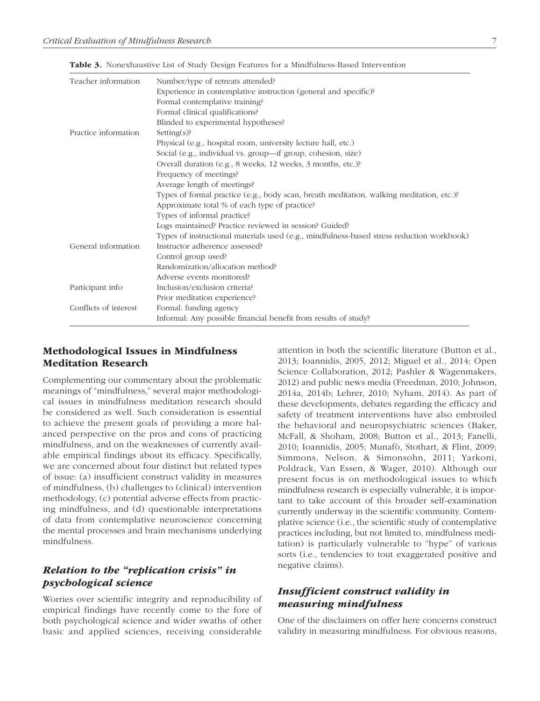| Teacher information   | Number/type of retreats attended?                                                         |
|-----------------------|-------------------------------------------------------------------------------------------|
|                       | Experience in contemplative instruction (general and specific)?                           |
|                       | Formal contemplative training?                                                            |
|                       | Formal clinical qualifications?                                                           |
|                       | Blinded to experimental hypotheses?                                                       |
| Practice information  | Setting $(s)$ ?                                                                           |
|                       | Physical (e.g., hospital room, university lecture hall, etc.)                             |
|                       | Social (e.g., individual vs. group-if group, cohesion, size)                              |
|                       | Overall duration (e.g., 8 weeks, 12 weeks, 3 months, etc.)?                               |
|                       | Frequency of meetings?                                                                    |
|                       | Average length of meetings?                                                               |
|                       | Types of formal practice (e.g., body scan, breath meditation, walking meditation, etc.)?  |
|                       | Approximate total % of each type of practice?                                             |
|                       | Types of informal practice?                                                               |
|                       | Logs maintained? Practice reviewed in session? Guided?                                    |
|                       | Types of instructional materials used (e.g., mindfulness-based stress reduction workbook) |
| General information   | Instructor adherence assessed?                                                            |
|                       | Control group used?                                                                       |
|                       | Randomization/allocation method?                                                          |
|                       | Adverse events monitored?                                                                 |
| Participant info      | Inclusion/exclusion criteria?                                                             |
|                       | Prior meditation experience?                                                              |
| Conflicts of interest | Formal: funding agency                                                                    |
|                       | Informal: Any possible financial benefit from results of study?                           |

Table 3. Nonexhaustive List of Study Design Features for a Mindfulness-Based Intervention

### Methodological Issues in Mindfulness Meditation Research

Complementing our commentary about the problematic meanings of "mindfulness," several major methodological issues in mindfulness meditation research should be considered as well. Such consideration is essential to achieve the present goals of providing a more balanced perspective on the pros and cons of practicing mindfulness, and on the weaknesses of currently available empirical findings about its efficacy. Specifically, we are concerned about four distinct but related types of issue: (a) insufficient construct validity in measures of mindfulness, (b) challenges to (clinical) intervention methodology, (c) potential adverse effects from practicing mindfulness, and (d) questionable interpretations of data from contemplative neuroscience concerning the mental processes and brain mechanisms underlying mindfulness.

### *Relation to the "replication crisis" in psychological science*

Worries over scientific integrity and reproducibility of empirical findings have recently come to the fore of both psychological science and wider swaths of other basic and applied sciences, receiving considerable

attention in both the scientific literature (Button et al., 2013; Ioannidis, 2005, 2012; Miguel et al., 2014; Open Science Collaboration, 2012; Pashler & Wagenmakers, 2012) and public news media (Freedman, 2010; Johnson, 2014a, 2014b; Lehrer, 2010; Nyham, 2014). As part of these developments, debates regarding the efficacy and safety of treatment interventions have also embroiled the behavioral and neuropsychiatric sciences (Baker, McFall, & Shoham, 2008; Button et al., 2013; Fanelli, 2010; Ioannidis, 2005; Munafò, Stothart, & Flint, 2009; Simmons, Nelson, & Simonsohn, 2011; Yarkoni, Poldrack, Van Essen, & Wager, 2010). Although our present focus is on methodological issues to which mindfulness research is especially vulnerable, it is important to take account of this broader self-examination currently underway in the scientific community. Contemplative science (i.e., the scientific study of contemplative practices including, but not limited to, mindfulness meditation) is particularly vulnerable to "hype" of various sorts (i.e., tendencies to tout exaggerated positive and negative claims).

### *Insufficient construct validity in measuring mindfulness*

One of the disclaimers on offer here concerns construct validity in measuring mindfulness. For obvious reasons,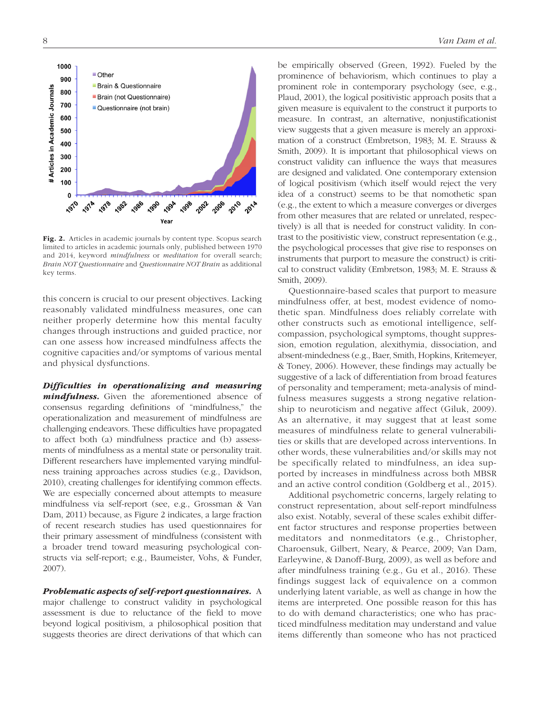

Fig. 2. Articles in academic journals by content type. Scopus search limited to articles in academic journals only, published between 1970 and 2014, keyword *mindfulness* or *meditation* for overall search; *Brain NOT Questionnaire* and *Questionnaire NOT Brain* as additional key terms.

this concern is crucial to our present objectives. Lacking reasonably validated mindfulness measures, one can neither properly determine how this mental faculty changes through instructions and guided practice, nor can one assess how increased mindfulness affects the cognitive capacities and/or symptoms of various mental and physical dysfunctions.

*Difficulties in operationalizing and measuring mindfulness.* Given the aforementioned absence of consensus regarding definitions of "mindfulness," the operationalization and measurement of mindfulness are challenging endeavors. These difficulties have propagated to affect both (a) mindfulness practice and (b) assessments of mindfulness as a mental state or personality trait. Different researchers have implemented varying mindfulness training approaches across studies (e.g., Davidson, 2010), creating challenges for identifying common effects. We are especially concerned about attempts to measure mindfulness via self-report (see, e.g., Grossman & Van Dam, 2011) because, as Figure 2 indicates, a large fraction of recent research studies has used questionnaires for their primary assessment of mindfulness (consistent with a broader trend toward measuring psychological constructs via self-report; e.g., Baumeister, Vohs, & Funder, 2007).

*Problematic aspects of self-report questionnaires.* A major challenge to construct validity in psychological assessment is due to reluctance of the field to move beyond logical positivism, a philosophical position that suggests theories are direct derivations of that which can be empirically observed (Green, 1992). Fueled by the prominence of behaviorism, which continues to play a prominent role in contemporary psychology (see, e.g., Plaud, 2001), the logical positivistic approach posits that a given measure is equivalent to the construct it purports to measure. In contrast, an alternative, nonjustificationist view suggests that a given measure is merely an approximation of a construct (Embretson, 1983; M. E. Strauss & Smith, 2009). It is important that philosophical views on construct validity can influence the ways that measures are designed and validated. One contemporary extension of logical positivism (which itself would reject the very idea of a construct) seems to be that nomothetic span (e.g., the extent to which a measure converges or diverges from other measures that are related or unrelated, respectively) is all that is needed for construct validity. In contrast to the positivistic view, construct representation (e.g., the psychological processes that give rise to responses on instruments that purport to measure the construct) is critical to construct validity (Embretson, 1983; M. E. Strauss & Smith, 2009).

Questionnaire-based scales that purport to measure mindfulness offer, at best, modest evidence of nomothetic span. Mindfulness does reliably correlate with other constructs such as emotional intelligence, selfcompassion, psychological symptoms, thought suppression, emotion regulation, alexithymia, dissociation, and absent-mindedness (e.g., Baer, Smith, Hopkins, Kritemeyer, & Toney, 2006). However, these findings may actually be suggestive of a lack of differentiation from broad features of personality and temperament; meta-analysis of mindfulness measures suggests a strong negative relationship to neuroticism and negative affect (Giluk, 2009). As an alternative, it may suggest that at least some measures of mindfulness relate to general vulnerabilities or skills that are developed across interventions. In other words, these vulnerabilities and/or skills may not be specifically related to mindfulness, an idea supported by increases in mindfulness across both MBSR and an active control condition (Goldberg et al., 2015).

Additional psychometric concerns, largely relating to construct representation, about self-report mindfulness also exist. Notably, several of these scales exhibit different factor structures and response properties between meditators and nonmeditators (e.g., Christopher, Charoensuk, Gilbert, Neary, & Pearce, 2009; Van Dam, Earleywine, & Danoff-Burg, 2009), as well as before and after mindfulness training (e.g., Gu et al., 2016). These findings suggest lack of equivalence on a common underlying latent variable, as well as change in how the items are interpreted. One possible reason for this has to do with demand characteristics; one who has practiced mindfulness meditation may understand and value items differently than someone who has not practiced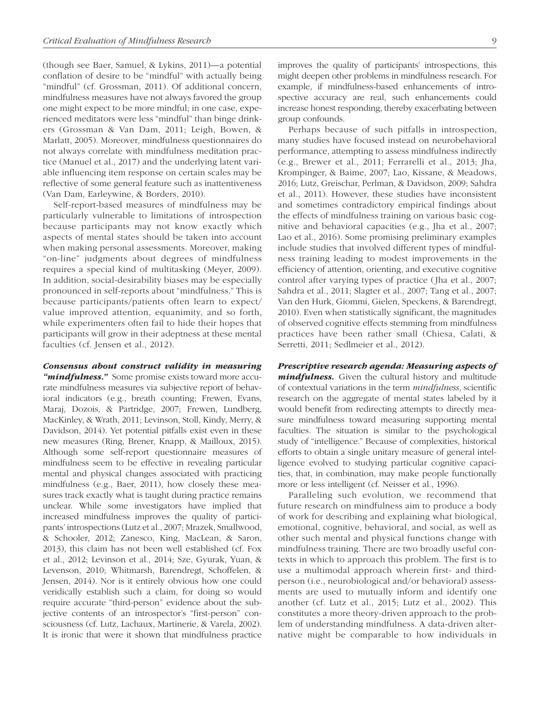(though see Baer, Samuel, & Lykins, 2011)—a potential conflation of desire to be "mindful" with actually being "mindful" (cf. Grossman, 2011). Of additional concern, mindfulness measures have not always favored the group one might expect to be more mindful; in one case, experienced meditators were less "mindful" than binge drinkers (Grossman & Van Dam, 2011; Leigh, Bowen, & Marlatt, 2005). Moreover, mindfulness questionnaires do not always correlate with mindfulness meditation practice (Manuel et al., 2017) and the underlying latent variable influencing item response on certain scales may be reflective of some general feature such as inattentiveness (Van Dam, Earleywine, & Borders, 2010).

Self-report-based measures of mindfulness may be particularly vulnerable to limitations of introspection because participants may not know exactly which aspects of mental states should be taken into account when making personal assessments. Moreover, making "on-line" judgments about degrees of mindfulness requires a special kind of multitasking (Meyer, 2009). In addition, social-desirability biases may be especially pronounced in self-reports about "mindfulness." This is because participants/patients often learn to expect/ value improved attention, equanimity, and so forth, while experimenters often fail to hide their hopes that participants will grow in their adeptness at these mental faculties (cf. Jensen et al., 2012).

#### *Consensus about construct validity in measuring*

"*mindfulness.*" Some promise exists toward more accurate mindfulness measures via subjective report of behavioral indicators (e.g., breath counting; Frewen, Evans, Maraj, Dozois, & Partridge, 2007; Frewen, Lundberg, MacKinley, & Wrath, 2011; Levinson, Stoll, Kindy, Merry, & Davidson, 2014). Yet potential pitfalls exist even in these new measures (Ring, Brener, Knapp, & Mailloux, 2015). Although some self-report questionnaire measures of mindfulness seem to be effective in revealing particular mental and physical changes associated with practicing mindfulness (e.g., Baer, 2011), how closely these measures track exactly what is taught during practice remains unclear. While some investigators have implied that increased mindfulness improves the quality of participants' introspections (Lutz et al., 2007; Mrazek, Smallwood, & Schooler, 2012; Zanesco, King, MacLean, & Saron, 2013), this claim has not been well established (cf. Fox et al., 2012; Levinson et al., 2014; Sze, Gyurak, Yuan, & Levenson, 2010; Whitmarsh, Barendregt, Schoffelen, & Jensen, 2014). Nor is it entirely obvious how one could veridically establish such a claim, for doing so would require accurate "third-person" evidence about the subjective contents of an introspector's "first-person" consciousness (cf. Lutz, Lachaux, Martinerie, & Varela, 2002). It is ironic that were it shown that mindfulness practice

improves the quality of participants' introspections, this might deepen other problems in mindfulness research. For example, if mindfulness-based enhancements of introspective accuracy are real, such enhancements could increase honest responding, thereby exacerbating between group confounds.

Perhaps because of such pitfalls in introspection, many studies have focused instead on neurobehavioral performance, attempting to assess mindfulness indirectly (e.g., Brewer et al., 2011; Ferrarelli et al., 2013; Jha, Krompinger, & Baime, 2007; Lao, Kissane, & Meadows, 2016; Lutz, Greischar, Perlman, & Davidson, 2009; Sahdra et al., 2011). However, these studies have inconsistent and sometimes contradictory empirical findings about the effects of mindfulness training on various basic cognitive and behavioral capacities (e.g., Jha et al., 2007; Lao et al., 2016). Some promising preliminary examples include studies that involved different types of mindfulness training leading to modest improvements in the efficiency of attention, orienting, and executive cognitive control after varying types of practice (Jha et al., 2007; Sahdra et al., 2011; Slagter et al., 2007; Tang et al., 2007; Van den Hurk, Giommi, Gielen, Speckens, & Barendregt, 2010). Even when statistically significant, the magnitudes of observed cognitive effects stemming from mindfulness practices have been rather small (Chiesa, Calati, & Serretti, 2011; Sedlmeier et al., 2012).

## *Prescriptive research agenda: Measuring aspects of mindfulness.* Given the cultural history and multitude of contextual variations in the term *mindfulness*, scientific

research on the aggregate of mental states labeled by it would benefit from redirecting attempts to directly measure mindfulness toward measuring supporting mental faculties. The situation is similar to the psychological study of "intelligence." Because of complexities, historical efforts to obtain a single unitary measure of general intelligence evolved to studying particular cognitive capacities, that, in combination, may make people functionally more or less intelligent (cf. Neisser et al., 1996).

Paralleling such evolution, we recommend that future research on mindfulness aim to produce a body of work for describing and explaining what biological, emotional, cognitive, behavioral, and social, as well as other such mental and physical functions change with mindfulness training. There are two broadly useful contexts in which to approach this problem. The first is to use a multimodal approach wherein first- and thirdperson (i.e., neurobiological and/or behavioral) assessments are used to mutually inform and identify one another (cf. Lutz et al., 2015; Lutz et al., 2002). This constitutes a more theory-driven approach to the problem of understanding mindfulness. A data-driven alternative might be comparable to how individuals in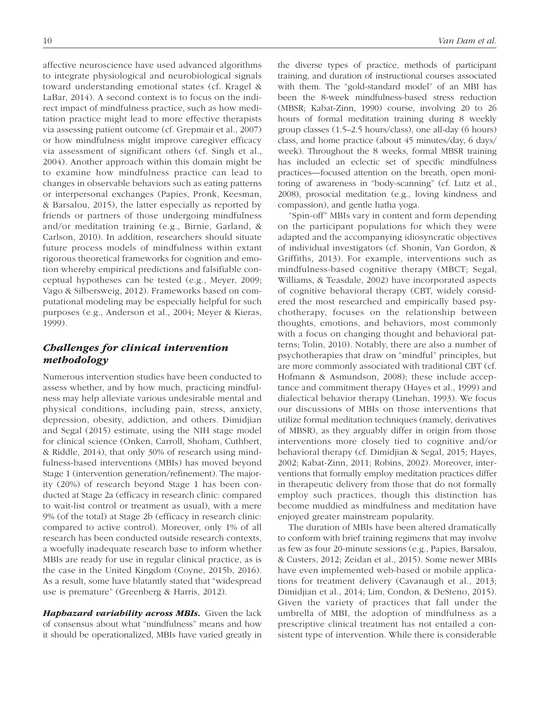affective neuroscience have used advanced algorithms to integrate physiological and neurobiological signals toward understanding emotional states (cf. Kragel & LaBar, 2014). A second context is to focus on the indirect impact of mindfulness practice, such as how meditation practice might lead to more effective therapists via assessing patient outcome (cf. Grepmair et al., 2007) or how mindfulness might improve caregiver efficacy via assessment of significant others (cf. Singh et al., 2004). Another approach within this domain might be to examine how mindfulness practice can lead to changes in observable behaviors such as eating patterns or interpersonal exchanges (Papies, Pronk, Keesman, & Barsalou, 2015), the latter especially as reported by friends or partners of those undergoing mindfulness and/or meditation training (e.g., Birnie, Garland, & Carlson, 2010). In addition, researchers should situate future process models of mindfulness within extant rigorous theoretical frameworks for cognition and emotion whereby empirical predictions and falsifiable conceptual hypotheses can be tested (e.g., Meyer, 2009; Vago & Silbersweig, 2012). Frameworks based on computational modeling may be especially helpful for such purposes (e.g., Anderson et al., 2004; Meyer & Kieras, 1999).

## *Challenges for clinical intervention methodology*

Numerous intervention studies have been conducted to assess whether, and by how much, practicing mindfulness may help alleviate various undesirable mental and physical conditions, including pain, stress, anxiety, depression, obesity, addiction, and others. Dimidjian and Segal (2015) estimate, using the NIH stage model for clinical science (Onken, Carroll, Shoham, Cuthbert, & Riddle, 2014), that only 30% of research using mindfulness-based interventions (MBIs) has moved beyond Stage 1 (intervention generation/refinement). The majority (20%) of research beyond Stage 1 has been conducted at Stage 2a (efficacy in research clinic: compared to wait-list control or treatment as usual), with a mere 9% (of the total) at Stage 2b (efficacy in research clinic: compared to active control). Moreover, only 1% of all research has been conducted outside research contexts, a woefully inadequate research base to inform whether MBIs are ready for use in regular clinical practice, as is the case in the United Kingdom (Coyne, 2015b, 2016). As a result, some have blatantly stated that "widespread use is premature" (Greenberg & Harris, 2012).

*Haphazard variability across MBIs.* Given the lack of consensus about what "mindfulness" means and how it should be operationalized, MBIs have varied greatly in the diverse types of practice, methods of participant training, and duration of instructional courses associated with them. The "gold-standard model" of an MBI has been the 8-week mindfulness-based stress reduction (MBSR; Kabat-Zinn, 1990) course, involving 20 to 26 hours of formal meditation training during 8 weekly group classes (1.5–2.5 hours/class), one all-day (6 hours) class, and home practice (about 45 minutes/day, 6 days/ week). Throughout the 8 weeks, formal MBSR training has included an eclectic set of specific mindfulness practices—focused attention on the breath, open monitoring of awareness in "body-scanning" (cf. Lutz et al., 2008), prosocial meditation (e.g., loving kindness and compassion), and gentle hatha yoga.

"Spin-off" MBIs vary in content and form depending on the participant populations for which they were adapted and the accompanying idiosyncratic objectives of individual investigators (cf. Shonin, Van Gordon, & Griffiths, 2013). For example, interventions such as mindfulness-based cognitive therapy (MBCT; Segal, Williams, & Teasdale, 2002) have incorporated aspects of cognitive behavioral therapy (CBT, widely considered the most researched and empirically based psychotherapy, focuses on the relationship between thoughts, emotions, and behaviors, most commonly with a focus on changing thought and behavioral patterns; Tolin, 2010). Notably, there are also a number of psychotherapies that draw on "mindful" principles, but are more commonly associated with traditional CBT (cf. Hofmann & Asmundson, 2008); these include acceptance and commitment therapy (Hayes et al., 1999) and dialectical behavior therapy (Linehan, 1993). We focus our discussions of MBIs on those interventions that utilize formal meditation techniques (namely, derivatives of MBSR), as they arguably differ in origin from those interventions more closely tied to cognitive and/or behavioral therapy (cf. Dimidjian & Segal, 2015; Hayes, 2002; Kabat-Zinn, 2011; Robins, 2002). Moreover, interventions that formally employ meditation practices differ in therapeutic delivery from those that do not formally employ such practices, though this distinction has become muddied as mindfulness and meditation have enjoyed greater mainstream popularity.

The duration of MBIs have been altered dramatically to conform with brief training regimens that may involve as few as four 20-minute sessions (e.g., Papies, Barsalou, & Custers, 2012; Zeidan et al., 2015). Some newer MBIs have even implemented web-based or mobile applications for treatment delivery (Cavanaugh et al., 2013; Dimidjian et al., 2014; Lim, Condon, & DeSteno, 2015). Given the variety of practices that fall under the umbrella of MBI, the adoption of mindfulness as a prescriptive clinical treatment has not entailed a consistent type of intervention. While there is considerable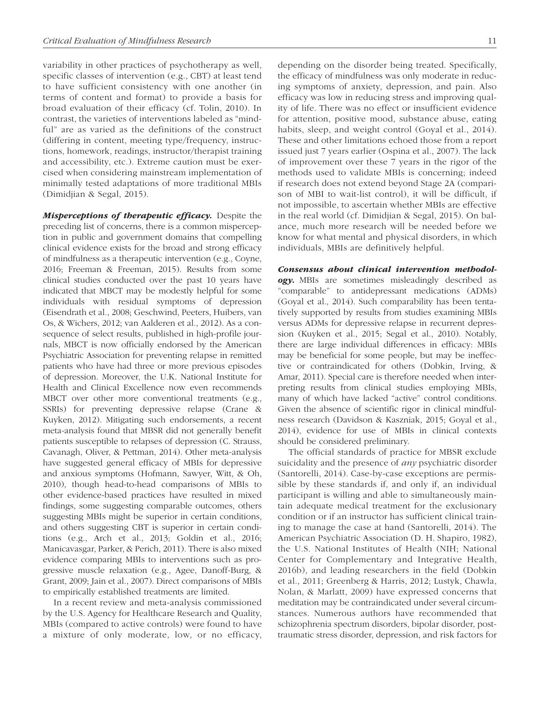variability in other practices of psychotherapy as well, specific classes of intervention (e.g., CBT) at least tend to have sufficient consistency with one another (in terms of content and format) to provide a basis for broad evaluation of their efficacy (cf. Tolin, 2010). In contrast, the varieties of interventions labeled as "mindful" are as varied as the definitions of the construct (differing in content, meeting type/frequency, instructions, homework, readings, instructor/therapist training and accessibility, etc.). Extreme caution must be exercised when considering mainstream implementation of minimally tested adaptations of more traditional MBIs (Dimidjian & Segal, 2015).

*Misperceptions of therapeutic efficacy.* Despite the preceding list of concerns, there is a common misperception in public and government domains that compelling clinical evidence exists for the broad and strong efficacy of mindfulness as a therapeutic intervention (e.g., Coyne, 2016; Freeman & Freeman, 2015). Results from some clinical studies conducted over the past 10 years have indicated that MBCT may be modestly helpful for some individuals with residual symptoms of depression (Eisendrath et al., 2008; Geschwind, Peeters, Huibers, van Os, & Wichers, 2012; van Aalderen et al., 2012). As a consequence of select results, published in high-profile journals, MBCT is now officially endorsed by the American Psychiatric Association for preventing relapse in remitted patients who have had three or more previous episodes of depression. Moreover, the U.K. National Institute for Health and Clinical Excellence now even recommends MBCT over other more conventional treatments (e.g., SSRIs) for preventing depressive relapse (Crane & Kuyken, 2012). Mitigating such endorsements, a recent meta-analysis found that MBSR did not generally benefit patients susceptible to relapses of depression (C. Strauss, Cavanagh, Oliver, & Pettman, 2014). Other meta-analysis have suggested general efficacy of MBIs for depressive and anxious symptoms (Hofmann, Sawyer, Witt, & Oh, 2010), though head-to-head comparisons of MBIs to other evidence-based practices have resulted in mixed findings, some suggesting comparable outcomes, others suggesting MBIs might be superior in certain conditions, and others suggesting CBT is superior in certain conditions (e.g., Arch et al., 2013; Goldin et al., 2016; Manicavasgar, Parker, & Perich, 2011). There is also mixed evidence comparing MBIs to interventions such as progressive muscle relaxation (e.g., Agee, Danoff-Burg, & Grant, 2009; Jain et al., 2007). Direct comparisons of MBIs to empirically established treatments are limited.

In a recent review and meta-analysis commissioned by the U.S. Agency for Healthcare Research and Quality, MBIs (compared to active controls) were found to have a mixture of only moderate, low, or no efficacy, depending on the disorder being treated. Specifically, the efficacy of mindfulness was only moderate in reducing symptoms of anxiety, depression, and pain. Also efficacy was low in reducing stress and improving quality of life. There was no effect or insufficient evidence for attention, positive mood, substance abuse, eating habits, sleep, and weight control (Goyal et al., 2014). These and other limitations echoed those from a report issued just 7 years earlier (Ospina et al., 2007). The lack of improvement over these 7 years in the rigor of the methods used to validate MBIs is concerning; indeed if research does not extend beyond Stage 2A (comparison of MBI to wait-list control), it will be difficult, if not impossible, to ascertain whether MBIs are effective in the real world (cf. Dimidjian & Segal, 2015). On balance, much more research will be needed before we know for what mental and physical disorders, in which individuals, MBIs are definitively helpful.

*Consensus about clinical intervention methodology.* MBIs are sometimes misleadingly described as "comparable" to antidepressant medications (ADMs) (Goyal et al., 2014). Such comparability has been tentatively supported by results from studies examining MBIs versus ADMs for depressive relapse in recurrent depression (Kuyken et al., 2015; Segal et al., 2010). Notably, there are large individual differences in efficacy: MBIs may be beneficial for some people, but may be ineffective or contraindicated for others (Dobkin, Irving, & Amar, 2011). Special care is therefore needed when interpreting results from clinical studies employing MBIs, many of which have lacked "active" control conditions. Given the absence of scientific rigor in clinical mindfulness research (Davidson & Kaszniak, 2015; Goyal et al., 2014), evidence for use of MBIs in clinical contexts should be considered preliminary.

The official standards of practice for MBSR exclude suicidality and the presence of *any* psychiatric disorder (Santorelli, 2014). Case-by-case exceptions are permissible by these standards if, and only if, an individual participant is willing and able to simultaneously maintain adequate medical treatment for the exclusionary condition or if an instructor has sufficient clinical training to manage the case at hand (Santorelli, 2014). The American Psychiatric Association (D. H. Shapiro, 1982), the U.S. National Institutes of Health (NIH; National Center for Complementary and Integrative Health, 2016b), and leading researchers in the field (Dobkin et al., 2011; Greenberg & Harris, 2012; Lustyk, Chawla, Nolan, & Marlatt, 2009) have expressed concerns that meditation may be contraindicated under several circumstances. Numerous authors have recommended that schizophrenia spectrum disorders, bipolar disorder, posttraumatic stress disorder, depression, and risk factors for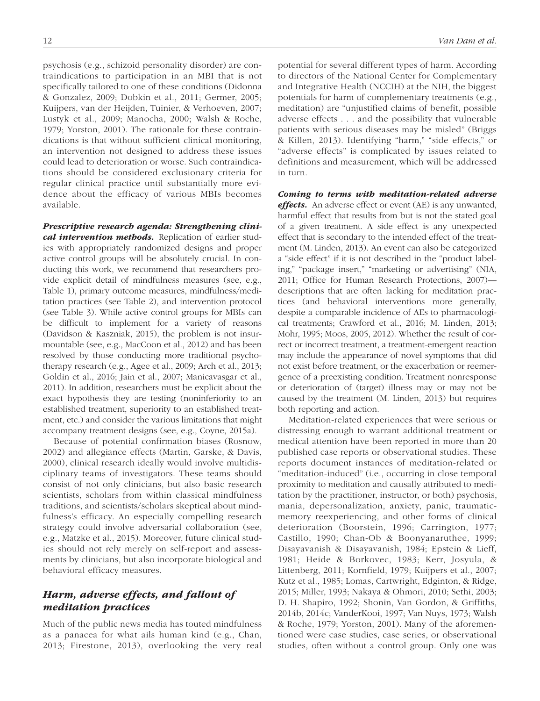psychosis (e.g., schizoid personality disorder) are contraindications to participation in an MBI that is not specifically tailored to one of these conditions (Didonna & Gonzalez, 2009; Dobkin et al., 2011; Germer, 2005; Kuijpers, van der Heijden, Tuinier, & Verhoeven, 2007; Lustyk et al., 2009; Manocha, 2000; Walsh & Roche, 1979; Yorston, 2001). The rationale for these contraindications is that without sufficient clinical monitoring, an intervention not designed to address these issues could lead to deterioration or worse. Such contraindications should be considered exclusionary criteria for regular clinical practice until substantially more evidence about the efficacy of various MBIs becomes available.

*Prescriptive research agenda: Strengthening clinical intervention methods.* Replication of earlier studies with appropriately randomized designs and proper active control groups will be absolutely crucial. In conducting this work, we recommend that researchers provide explicit detail of mindfulness measures (see, e.g., Table 1), primary outcome measures, mindfulness/meditation practices (see Table 2), and intervention protocol (see Table 3). While active control groups for MBIs can be difficult to implement for a variety of reasons (Davidson & Kaszniak, 2015), the problem is not insurmountable (see, e.g., MacCoon et al., 2012) and has been resolved by those conducting more traditional psychotherapy research (e.g., Agee et al., 2009; Arch et al., 2013; Goldin et al., 2016; Jain et al., 2007; Manicavasgar et al., 2011). In addition, researchers must be explicit about the exact hypothesis they are testing (noninferiority to an established treatment, superiority to an established treatment, etc.) and consider the various limitations that might accompany treatment designs (see, e.g., Coyne, 2015a).

Because of potential confirmation biases (Rosnow, 2002) and allegiance effects (Martin, Garske, & Davis, 2000), clinical research ideally would involve multidisciplinary teams of investigators. These teams should consist of not only clinicians, but also basic research scientists, scholars from within classical mindfulness traditions, and scientists/scholars skeptical about mindfulness's efficacy. An especially compelling research strategy could involve adversarial collaboration (see, e.g., Matzke et al., 2015). Moreover, future clinical studies should not rely merely on self-report and assessments by clinicians, but also incorporate biological and behavioral efficacy measures.

## *Harm, adverse effects, and fallout of meditation practices*

Much of the public news media has touted mindfulness as a panacea for what ails human kind (e.g., Chan, 2013; Firestone, 2013), overlooking the very real potential for several different types of harm. According to directors of the National Center for Complementary and Integrative Health (NCCIH) at the NIH, the biggest potentials for harm of complementary treatments (e.g., meditation) are "unjustified claims of benefit, possible

adverse effects . . . and the possibility that vulnerable patients with serious diseases may be misled" (Briggs & Killen, 2013). Identifying "harm," "side effects," or "adverse effects" is complicated by issues related to definitions and measurement, which will be addressed in turn.

*Coming to terms with meditation-related adverse effects.* An adverse effect or event (AE) is any unwanted, harmful effect that results from but is not the stated goal of a given treatment. A side effect is any unexpected effect that is secondary to the intended effect of the treatment (M. Linden, 2013). An event can also be categorized a "side effect" if it is not described in the "product labeling," "package insert," "marketing or advertising" (NIA, 2011; Office for Human Research Protections, 2007) descriptions that are often lacking for meditation practices (and behavioral interventions more generally, despite a comparable incidence of AEs to pharmacological treatments; Crawford et al., 2016; M. Linden, 2013; Mohr, 1995; Moos, 2005, 2012). Whether the result of correct or incorrect treatment, a treatment-emergent reaction may include the appearance of novel symptoms that did not exist before treatment, or the exacerbation or reemergence of a preexisting condition. Treatment nonresponse or deterioration of (target) illness may or may not be caused by the treatment (M. Linden, 2013) but requires both reporting and action.

Meditation-related experiences that were serious or distressing enough to warrant additional treatment or medical attention have been reported in more than 20 published case reports or observational studies. These reports document instances of meditation-related or "meditation-induced" (i.e., occurring in close temporal proximity to meditation and causally attributed to meditation by the practitioner, instructor, or both) psychosis, mania, depersonalization, anxiety, panic, traumaticmemory reexperiencing, and other forms of clinical deterioration (Boorstein, 1996; Carrington, 1977; Castillo, 1990; Chan-Ob & Boonyanaruthee, 1999; Disayavanish & Disayavanish, 1984; Epstein & Lieff, 1981; Heide & Borkovec, 1983; Kerr, Josyula, & Littenberg, 2011; Kornfield, 1979; Kuijpers et al., 2007; Kutz et al., 1985; Lomas, Cartwright, Edginton, & Ridge, 2015; Miller, 1993; Nakaya & Ohmori, 2010; Sethi, 2003; D. H. Shapiro, 1992; Shonin, Van Gordon, & Griffiths, 2014b, 2014c; VanderKooi, 1997; Van Nuys, 1973; Walsh & Roche, 1979; Yorston, 2001). Many of the aforementioned were case studies, case series, or observational studies, often without a control group. Only one was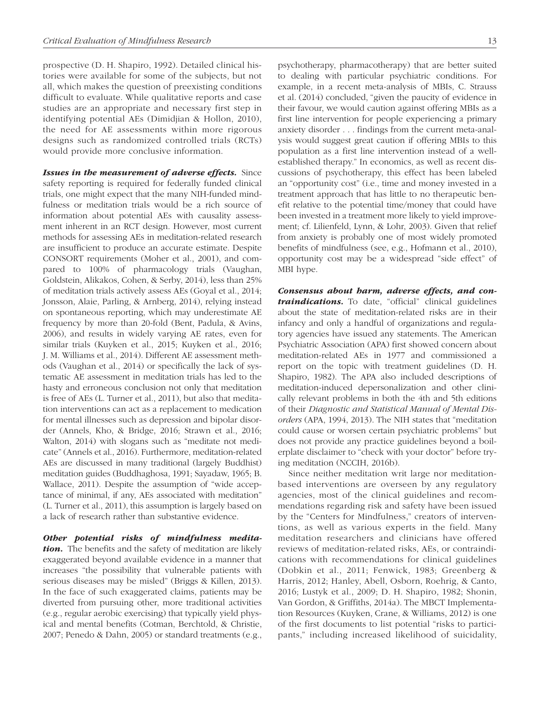prospective (D. H. Shapiro, 1992). Detailed clinical histories were available for some of the subjects, but not all, which makes the question of preexisting conditions difficult to evaluate. While qualitative reports and case studies are an appropriate and necessary first step in identifying potential AEs (Dimidjian & Hollon, 2010), the need for AE assessments within more rigorous designs such as randomized controlled trials (RCTs) would provide more conclusive information.

*Issues in the measurement of adverse effects.* Since safety reporting is required for federally funded clinical trials, one might expect that the many NIH-funded mindfulness or meditation trials would be a rich source of information about potential AEs with causality assessment inherent in an RCT design. However, most current methods for assessing AEs in meditation-related research are insufficient to produce an accurate estimate. Despite CONSORT requirements (Moher et al., 2001), and compared to 100% of pharmacology trials (Vaughan, Goldstein, Alikakos, Cohen, & Serby, 2014), less than 25% of meditation trials actively assess AEs (Goyal et al., 2014; Jonsson, Alaie, Parling, & Arnberg, 2014), relying instead on spontaneous reporting, which may underestimate AE frequency by more than 20-fold (Bent, Padula, & Avins, 2006), and results in widely varying AE rates, even for similar trials (Kuyken et al., 2015; Kuyken et al., 2016; J. M. Williams et al., 2014). Different AE assessment methods (Vaughan et al., 2014) or specifically the lack of systematic AE assessment in meditation trials has led to the hasty and erroneous conclusion not only that meditation is free of AEs (L. Turner et al., 2011), but also that meditation interventions can act as a replacement to medication for mental illnesses such as depression and bipolar disorder (Annels, Kho, & Bridge, 2016; Strawn et al., 2016; Walton, 2014) with slogans such as "meditate not medicate" (Annels et al., 2016). Furthermore, meditation-related AEs are discussed in many traditional (largely Buddhist) meditation guides (Buddhaghosa, 1991; Sayadaw, 1965; B. Wallace, 2011). Despite the assumption of "wide acceptance of minimal, if any, AEs associated with meditation" (L. Turner et al., 2011), this assumption is largely based on a lack of research rather than substantive evidence.

*Other potential risks of mindfulness meditation.* The benefits and the safety of meditation are likely exaggerated beyond available evidence in a manner that increases "the possibility that vulnerable patients with serious diseases may be misled" (Briggs & Killen, 2013). In the face of such exaggerated claims, patients may be diverted from pursuing other, more traditional activities (e.g., regular aerobic exercising) that typically yield physical and mental benefits (Cotman, Berchtold, & Christie, 2007; Penedo & Dahn, 2005) or standard treatments (e.g., psychotherapy, pharmacotherapy) that are better suited to dealing with particular psychiatric conditions. For example, in a recent meta-analysis of MBIs, C. Strauss et al. (2014) concluded, "given the paucity of evidence in their favour, we would caution against offering MBIs as a first line intervention for people experiencing a primary anxiety disorder . . . findings from the current meta-analysis would suggest great caution if offering MBIs to this population as a first line intervention instead of a wellestablished therapy." In economics, as well as recent discussions of psychotherapy, this effect has been labeled an "opportunity cost" (i.e., time and money invested in a treatment approach that has little to no therapeutic benefit relative to the potential time/money that could have been invested in a treatment more likely to yield improvement; cf. Lilienfeld, Lynn, & Lohr, 2003). Given that relief from anxiety is probably one of most widely promoted benefits of mindfulness (see, e.g., Hofmann et al., 2010), opportunity cost may be a widespread "side effect" of MBI hype.

*Consensus about harm, adverse effects, and contraindications.* To date, "official" clinical guidelines about the state of meditation-related risks are in their infancy and only a handful of organizations and regulatory agencies have issued any statements. The American Psychiatric Association (APA) first showed concern about meditation-related AEs in 1977 and commissioned a report on the topic with treatment guidelines (D. H. Shapiro, 1982). The APA also included descriptions of meditation-induced depersonalization and other clinically relevant problems in both the 4th and 5th editions of their *Diagnostic and Statistical Manual of Mental Disorders* (APA, 1994, 2013). The NIH states that "meditation could cause or worsen certain psychiatric problems" but does not provide any practice guidelines beyond a boilerplate disclaimer to "check with your doctor" before trying meditation (NCCIH, 2016b).

Since neither meditation writ large nor meditationbased interventions are overseen by any regulatory agencies, most of the clinical guidelines and recommendations regarding risk and safety have been issued by the "Centers for Mindfulness," creators of interventions, as well as various experts in the field. Many meditation researchers and clinicians have offered reviews of meditation-related risks, AEs, or contraindications with recommendations for clinical guidelines (Dobkin et al., 2011; Fenwick, 1983; Greenberg & Harris, 2012; Hanley, Abell, Osborn, Roehrig, & Canto, 2016; Lustyk et al., 2009; D. H. Shapiro, 1982; Shonin, Van Gordon, & Griffiths, 2014a). The MBCT Implementation Resources (Kuyken, Crane, & Williams, 2012) is one of the first documents to list potential "risks to participants," including increased likelihood of suicidality,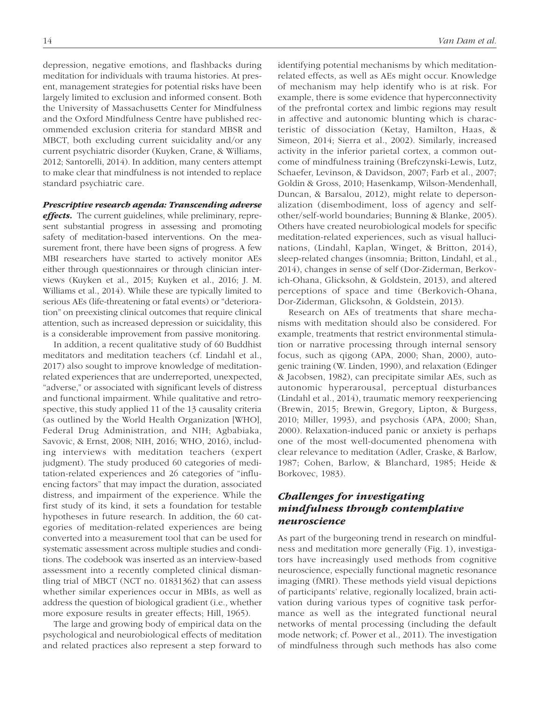depression, negative emotions, and flashbacks during meditation for individuals with trauma histories. At present, management strategies for potential risks have been largely limited to exclusion and informed consent. Both the University of Massachusetts Center for Mindfulness and the Oxford Mindfulness Centre have published recommended exclusion criteria for standard MBSR and MBCT, both excluding current suicidality and/or any current psychiatric disorder (Kuyken, Crane, & Williams, 2012; Santorelli, 2014). In addition, many centers attempt to make clear that mindfulness is not intended to replace standard psychiatric care.

#### *Prescriptive research agenda: Transcending adverse*

*effects.* The current guidelines, while preliminary, represent substantial progress in assessing and promoting safety of meditation-based interventions. On the measurement front, there have been signs of progress. A few MBI researchers have started to actively monitor AEs either through questionnaires or through clinician interviews (Kuyken et al., 2015; Kuyken et al., 2016; J. M. Williams et al., 2014). While these are typically limited to serious AEs (life-threatening or fatal events) or "deterioration" on preexisting clinical outcomes that require clinical attention, such as increased depression or suicidality, this is a considerable improvement from passive monitoring.

In addition, a recent qualitative study of 60 Buddhist meditators and meditation teachers (cf. Lindahl et al., 2017) also sought to improve knowledge of meditationrelated experiences that are underreported, unexpected, "adverse," or associated with significant levels of distress and functional impairment. While qualitative and retrospective, this study applied 11 of the 13 causality criteria (as outlined by the World Health Organization [WHO], Federal Drug Administration, and NIH; Agbabiaka, Savovic, & Ernst, 2008; NIH, 2016; WHO, 2016), including interviews with meditation teachers (expert judgment). The study produced 60 categories of meditation-related experiences and 26 categories of "influencing factors" that may impact the duration, associated distress, and impairment of the experience. While the first study of its kind, it sets a foundation for testable hypotheses in future research. In addition, the 60 categories of meditation-related experiences are being converted into a measurement tool that can be used for systematic assessment across multiple studies and conditions. The codebook was inserted as an interview-based assessment into a recently completed clinical dismantling trial of MBCT (NCT no. 01831362) that can assess whether similar experiences occur in MBIs, as well as address the question of biological gradient (i.e., whether more exposure results in greater effects; Hill, 1965).

The large and growing body of empirical data on the psychological and neurobiological effects of meditation and related practices also represent a step forward to related effects, as well as AEs might occur. Knowledge of mechanism may help identify who is at risk. For example, there is some evidence that hyperconnectivity of the prefrontal cortex and limbic regions may result in affective and autonomic blunting which is characteristic of dissociation (Ketay, Hamilton, Haas, & Simeon, 2014; Sierra et al., 2002). Similarly, increased activity in the inferior parietal cortex, a common outcome of mindfulness training (Brefczynski-Lewis, Lutz, Schaefer, Levinson, & Davidson, 2007; Farb et al., 2007; Goldin & Gross, 2010; Hasenkamp, Wilson-Mendenhall, Duncan, & Barsalou, 2012), might relate to depersonalization (disembodiment, loss of agency and selfother/self-world boundaries; Bunning & Blanke, 2005). Others have created neurobiological models for specific meditation-related experiences, such as visual hallucinations, (Lindahl, Kaplan, Winget, & Britton, 2014), sleep-related changes (insomnia; Britton, Lindahl, et al., 2014), changes in sense of self (Dor-Ziderman, Berkovich-Ohana, Glicksohn, & Goldstein, 2013), and altered perceptions of space and time (Berkovich-Ohana, Dor-Ziderman, Glicksohn, & Goldstein, 2013).

Research on AEs of treatments that share mechanisms with meditation should also be considered. For example, treatments that restrict environmental stimulation or narrative processing through internal sensory focus, such as qigong (APA, 2000; Shan, 2000), autogenic training (W. Linden, 1990), and relaxation (Edinger & Jacobsen, 1982), can precipitate similar AEs, such as autonomic hyperarousal, perceptual disturbances (Lindahl et al., 2014), traumatic memory reexperiencing (Brewin, 2015; Brewin, Gregory, Lipton, & Burgess, 2010; Miller, 1993), and psychosis (APA, 2000; Shan, 2000). Relaxation-induced panic or anxiety is perhaps one of the most well-documented phenomena with clear relevance to meditation (Adler, Craske, & Barlow, 1987; Cohen, Barlow, & Blanchard, 1985; Heide & Borkovec, 1983).

# *Challenges for investigating mindfulness through contemplative neuroscience*

As part of the burgeoning trend in research on mindfulness and meditation more generally (Fig. 1), investigators have increasingly used methods from cognitive neuroscience, especially functional magnetic resonance imaging (fMRI). These methods yield visual depictions of participants' relative, regionally localized, brain activation during various types of cognitive task performance as well as the integrated functional neural networks of mental processing (including the default mode network; cf. Power et al., 2011). The investigation of mindfulness through such methods has also come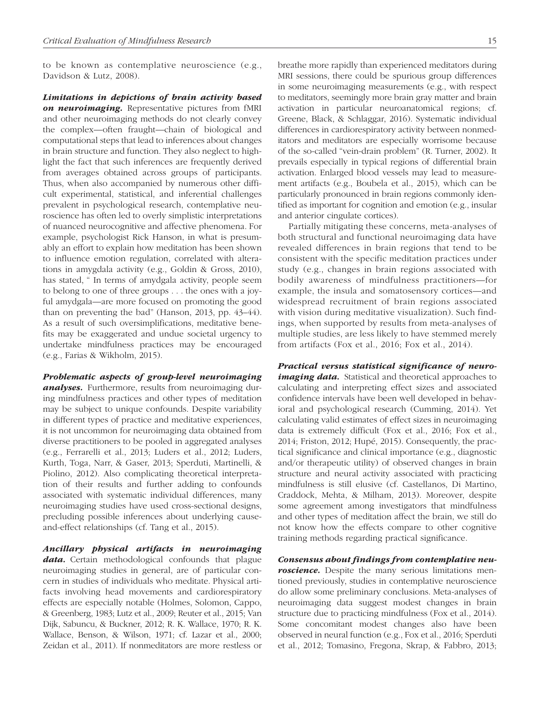to be known as contemplative neuroscience (e.g., Davidson & Lutz, 2008).

*Limitations in depictions of brain activity based on neuroimaging.* Representative pictures from fMRI and other neuroimaging methods do not clearly convey the complex—often fraught—chain of biological and computational steps that lead to inferences about changes in brain structure and function. They also neglect to highlight the fact that such inferences are frequently derived from averages obtained across groups of participants. Thus, when also accompanied by numerous other difficult experimental, statistical, and inferential challenges prevalent in psychological research, contemplative neuroscience has often led to overly simplistic interpretations of nuanced neurocognitive and affective phenomena. For example, psychologist Rick Hanson, in what is presumably an effort to explain how meditation has been shown to influence emotion regulation, correlated with alterations in amygdala activity (e.g., Goldin & Gross, 2010), has stated, " In terms of amydgala activity, people seem to belong to one of three groups . . . the ones with a joyful amydgala—are more focused on promoting the good than on preventing the bad" (Hanson, 2013, pp. 43–44). As a result of such oversimplifications, meditative benefits may be exaggerated and undue societal urgency to undertake mindfulness practices may be encouraged (e.g., Farias & Wikholm, 2015).

*Problematic aspects of group-level neuroimaging analyses.* Furthermore, results from neuroimaging during mindfulness practices and other types of meditation may be subject to unique confounds. Despite variability in different types of practice and meditative experiences, it is not uncommon for neuroimaging data obtained from diverse practitioners to be pooled in aggregated analyses (e.g., Ferrarelli et al., 2013; Luders et al., 2012; Luders, Kurth, Toga, Narr, & Gaser, 2013; Sperduti, Martinelli, & Piolino, 2012). Also complicating theoretical interpretation of their results and further adding to confounds associated with systematic individual differences, many neuroimaging studies have used cross-sectional designs, precluding possible inferences about underlying causeand-effect relationships (cf. Tang et al., 2015).

*Ancillary physical artifacts in neuroimaging data.* Certain methodological confounds that plague neuroimaging studies in general, are of particular concern in studies of individuals who meditate. Physical artifacts involving head movements and cardiorespiratory effects are especially notable (Holmes, Solomon, Cappo, & Greenberg, 1983; Lutz et al., 2009; Reuter et al., 2015; Van Dijk, Sabuncu, & Buckner, 2012; R. K. Wallace, 1970; R. K. Wallace, Benson, & Wilson, 1971; cf. Lazar et al., 2000; Zeidan et al., 2011). If nonmeditators are more restless or breathe more rapidly than experienced meditators during MRI sessions, there could be spurious group differences in some neuroimaging measurements (e.g., with respect to meditators, seemingly more brain gray matter and brain activation in particular neuroanatomical regions; cf. Greene, Black, & Schlaggar, 2016). Systematic individual differences in cardiorespiratory activity between nonmeditators and meditators are especially worrisome because of the so-called "vein-drain problem" (R. Turner, 2002). It prevails especially in typical regions of differential brain activation. Enlarged blood vessels may lead to measurement artifacts (e.g., Boubela et al., 2015), which can be particularly pronounced in brain regions commonly identified as important for cognition and emotion (e.g., insular and anterior cingulate cortices).

Partially mitigating these concerns, meta-analyses of both structural and functional neuroimaging data have revealed differences in brain regions that tend to be consistent with the specific meditation practices under study (e.g., changes in brain regions associated with bodily awareness of mindfulness practitioners—for example, the insula and somatosensory cortices—and widespread recruitment of brain regions associated with vision during meditative visualization). Such findings, when supported by results from meta-analyses of multiple studies, are less likely to have stemmed merely from artifacts (Fox et al., 2016; Fox et al., 2014).

*Practical versus statistical significance of neuro*imaging data. Statistical and theoretical approaches to calculating and interpreting effect sizes and associated confidence intervals have been well developed in behavioral and psychological research (Cumming, 2014). Yet calculating valid estimates of effect sizes in neuroimaging data is extremely difficult (Fox et al., 2016; Fox et al., 2014; Friston, 2012; Hupé, 2015). Consequently, the practical significance and clinical importance (e.g., diagnostic and/or therapeutic utility) of observed changes in brain structure and neural activity associated with practicing mindfulness is still elusive (cf. Castellanos, Di Martino, Craddock, Mehta, & Milham, 2013). Moreover, despite some agreement among investigators that mindfulness and other types of meditation affect the brain, we still do not know how the effects compare to other cognitive training methods regarding practical significance.

*Consensus about findings from contemplative neuroscience.* Despite the many serious limitations mentioned previously, studies in contemplative neuroscience do allow some preliminary conclusions. Meta-analyses of neuroimaging data suggest modest changes in brain structure due to practicing mindfulness (Fox et al., 2014). Some concomitant modest changes also have been observed in neural function (e.g., Fox et al., 2016; Sperduti et al., 2012; Tomasino, Fregona, Skrap, & Fabbro, 2013;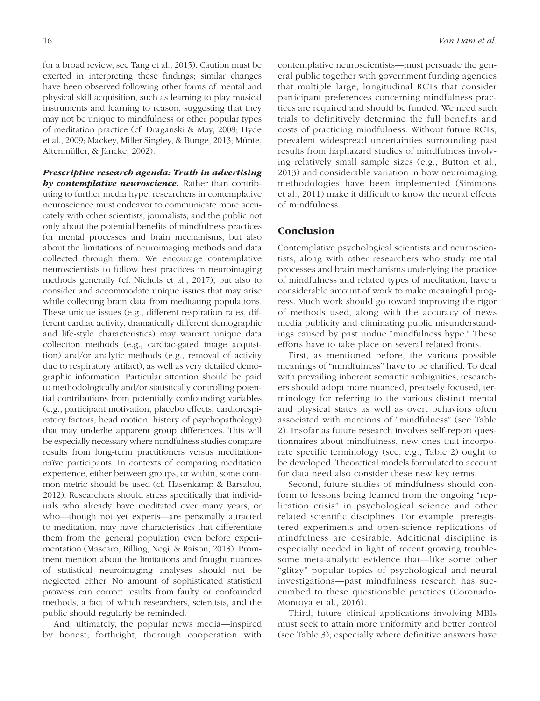for a broad review, see Tang et al., 2015). Caution must be exerted in interpreting these findings; similar changes have been observed following other forms of mental and physical skill acquisition, such as learning to play musical instruments and learning to reason, suggesting that they may not be unique to mindfulness or other popular types of meditation practice (cf. Draganski & May, 2008; Hyde et al., 2009; Mackey, Miller Singley, & Bunge, 2013; Münte, Altenmüller, & Jäncke, 2002).

*Prescriptive research agenda: Truth in advertising by contemplative neuroscience.* Rather than contributing to further media hype, researchers in contemplative neuroscience must endeavor to communicate more accurately with other scientists, journalists, and the public not only about the potential benefits of mindfulness practices for mental processes and brain mechanisms, but also about the limitations of neuroimaging methods and data collected through them. We encourage contemplative neuroscientists to follow best practices in neuroimaging methods generally (cf. Nichols et al., 2017), but also to consider and accommodate unique issues that may arise while collecting brain data from meditating populations. These unique issues (e.g., different respiration rates, different cardiac activity, dramatically different demographic and life-style characteristics) may warrant unique data collection methods (e.g., cardiac-gated image acquisition) and/or analytic methods (e.g., removal of activity due to respiratory artifact), as well as very detailed demographic information. Particular attention should be paid to methodologically and/or statistically controlling potential contributions from potentially confounding variables (e.g., participant motivation, placebo effects, cardiorespiratory factors, head motion, history of psychopathology) that may underlie apparent group differences. This will be especially necessary where mindfulness studies compare results from long-term practitioners versus meditationnaïve participants. In contexts of comparing meditation experience, either between groups, or within, some common metric should be used (cf. Hasenkamp & Barsalou, 2012). Researchers should stress specifically that individuals who already have meditated over many years, or who—though not yet experts—are personally attracted to meditation, may have characteristics that differentiate them from the general population even before experimentation (Mascaro, Rilling, Negi, & Raison, 2013). Prominent mention about the limitations and fraught nuances of statistical neuroimaging analyses should not be neglected either. No amount of sophisticated statistical prowess can correct results from faulty or confounded methods, a fact of which researchers, scientists, and the public should regularly be reminded.

And, ultimately, the popular news media—inspired by honest, forthright, thorough cooperation with contemplative neuroscientists—must persuade the general public together with government funding agencies that multiple large, longitudinal RCTs that consider participant preferences concerning mindfulness practices are required and should be funded. We need such trials to definitively determine the full benefits and costs of practicing mindfulness. Without future RCTs, prevalent widespread uncertainties surrounding past results from haphazard studies of mindfulness involving relatively small sample sizes (e.g., Button et al., 2013) and considerable variation in how neuroimaging methodologies have been implemented (Simmons et al., 2011) make it difficult to know the neural effects of mindfulness.

#### Conclusion

Contemplative psychological scientists and neuroscientists, along with other researchers who study mental processes and brain mechanisms underlying the practice of mindfulness and related types of meditation, have a considerable amount of work to make meaningful progress. Much work should go toward improving the rigor of methods used, along with the accuracy of news media publicity and eliminating public misunderstandings caused by past undue "mindfulness hype." These efforts have to take place on several related fronts.

First, as mentioned before, the various possible meanings of "mindfulness" have to be clarified. To deal with prevailing inherent semantic ambiguities, researchers should adopt more nuanced, precisely focused, terminology for referring to the various distinct mental and physical states as well as overt behaviors often associated with mentions of "mindfulness" (see Table 2). Insofar as future research involves self-report questionnaires about mindfulness, new ones that incorporate specific terminology (see, e.g., Table 2) ought to be developed. Theoretical models formulated to account for data need also consider these new key terms.

Second, future studies of mindfulness should conform to lessons being learned from the ongoing "replication crisis" in psychological science and other related scientific disciplines. For example, preregistered experiments and open-science replications of mindfulness are desirable. Additional discipline is especially needed in light of recent growing troublesome meta-analytic evidence that—like some other "glitzy" popular topics of psychological and neural investigations—past mindfulness research has succumbed to these questionable practices (Coronado-Montoya et al., 2016).

Third, future clinical applications involving MBIs must seek to attain more uniformity and better control (see Table 3), especially where definitive answers have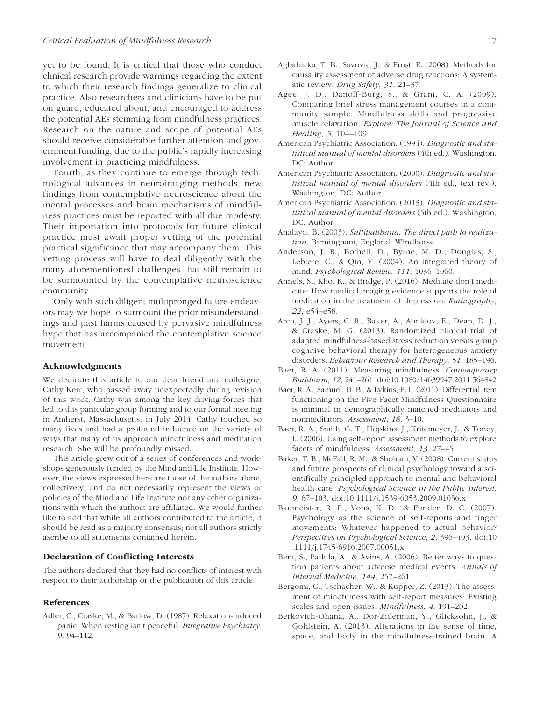yet to be found. It is critical that those who conduct clinical research provide warnings regarding the extent to which their research findings generalize to clinical practice. Also researchers and clinicians have to be put on guard, educated about, and encouraged to address the potential AEs stemming from mindfulness practices. Research on the nature and scope of potential AEs should receive considerable further attention and government funding, due to the public's rapidly increasing involvement in practicing mindfulness.

Fourth, as they continue to emerge through technological advances in neuroimaging methods, new findings from contemplative neuroscience about the mental processes and brain mechanisms of mindfulness practices must be reported with all due modesty. Their importation into protocols for future clinical practice must await proper vetting of the potential practical significance that may accompany them. This vetting process will have to deal diligently with the many aforementioned challenges that still remain to be surmounted by the contemplative neuroscience community.

Only with such diligent multipronged future endeavors may we hope to surmount the prior misunderstandings and past harms caused by pervasive mindfulness hype that has accompanied the contemplative science movement.

#### Acknowledgments

We dedicate this article to our dear friend and colleague, Cathy Kerr, who passed away unexpectedly during revision of this work. Cathy was among the key driving forces that led to this particular group forming and to our formal meeting in Amherst, Massachusetts, in July 2014. Cathy touched so many lives and had a profound influence on the variety of ways that many of us approach mindfulness and meditation research. She will be profoundly missed.

This article grew out of a series of conferences and workshops generously funded by the Mind and Life Institute. However, the views expressed here are those of the authors alone, collectively, and do not necessarily represent the views or policies of the Mind and Life Institute nor any other organizations with which the authors are affiliated. We would further like to add that while all authors contributed to the article, it should be read as a majority consensus; not all authors strictly ascribe to all statements contained herein.

#### Declaration of Conflicting Interests

The authors declared that they had no conflicts of interest with respect to their authorship or the publication of this article.

#### References

Adler, C., Craske, M., & Barlow, D. (1987). Relaxation-induced panic: When resting isn't peaceful. *Integrative Psychiatry*, *9*, 94–112.

- Agbabiaka, T. B., Savovic, J., & Ernst, E. (2008). Methods for causality assessment of adverse drug reactions: A systematic review. *Drug Safety*, *31*, 21–37.
- Agee, J. D., Danoff-Burg, S., & Grant, C. A. (2009). Comparing brief stress management courses in a community sample: Mindfulness skills and progressive muscle relaxation. *Explore: The Journal of Science and Healing*, *5*, 104–109.
- American Psychiatric Association. (1994). *Diagnostic and statistical manual of mental disorder*s (4th ed.). Washington, DC: Author.
- American Psychiatric Association. (2000). *Diagnostic and statistical manual of mental disorders* (4th ed., text rev.). Washington, DC: Author.
- American Psychiatric Association. (2013). *Diagnostic and statistical manual of mental disorders* (5th ed.). Washington, DC: Author.
- Analayo, B. (2003). *Sattipatthana: The direct path to realization*. Birmingham, England: Windhorse.
- Anderson, J. R., Bothell, D., Byrne, M. D., Douglas, S., Lebiere, C., & Qin, Y. (2004). An integrated theory of mind. *Psychological Review*, *111*, 1036–1060.
- Annels, S., Kho, K., & Bridge, P. (2016). Meditate don't medicate: How medical imaging evidence supports the role of meditation in the treatment of depression. *Radiography*, *22*, e54–e58.
- Arch, J. J., Ayers, C. R., Baker, A., Almklov, E., Dean, D. J., & Craske, M. G. (2013). Randomized clinical trial of adapted mindfulness-based stress reduction versus group cognitive behavioral therapy for heterogeneous anxiety disorders. *Behaviour Research and Therapy*, *51*, 185–196.
- Baer, R. A. (2011). Measuring mindfulness. *Contemporary Buddhism*, *12*, 241–261. doi:10.1080/14639947.2011.564842
- Baer, R. A., Samuel, D. B., & Lykins, E. L. (2011). Differential item functioning on the Five Facet Mindfulness Questionnaire is minimal in demographically matched meditators and nonmeditators. *Assessment*, *18*, 3–10.
- Baer, R. A., Smith, G. T., Hopkins, J., Kritemeyer, J., & Toney, L. (2006). Using self-report assessment methods to explore facets of mindfulness. *Assessment*, *13*, 27–45.
- Baker, T. B., McFall, R. M., & Shoham, V. (2008). Current status and future prospects of clinical psychology toward a scientifically principled approach to mental and behavioral health care. *Psychological Science in the Public Interest*, *9*, 67–103. doi:10.1111/j.1539-6053.2009.01036.x
- Baumeister, R. F., Vohs, K. D., & Funder, D. C. (2007). Psychology as the science of self-reports and finger movements: Whatever happened to actual behavior? *Perspectives on Psychological Science*, *2*, 396–403. doi:10 .1111/j.1745-6916.2007.00051.x
- Bent, S., Padula, A., & Avins, A. (2006). Better ways to question patients about adverse medical events. *Annals of Internal Medicine*, *144*, 257–261.
- Bergomi, C., Tschacher, W., & Kupper, Z. (2013). The assessment of mindfulness with self-report measures: Existing scales and open issues. *Mindfulness*, *4*, 191–202.
- Berkovich-Ohana, A., Dor-Ziderman, Y., Glicksohn, J., & Goldstein, A. (2013). Alterations in the sense of time, space, and body in the mindfulness-trained brain: A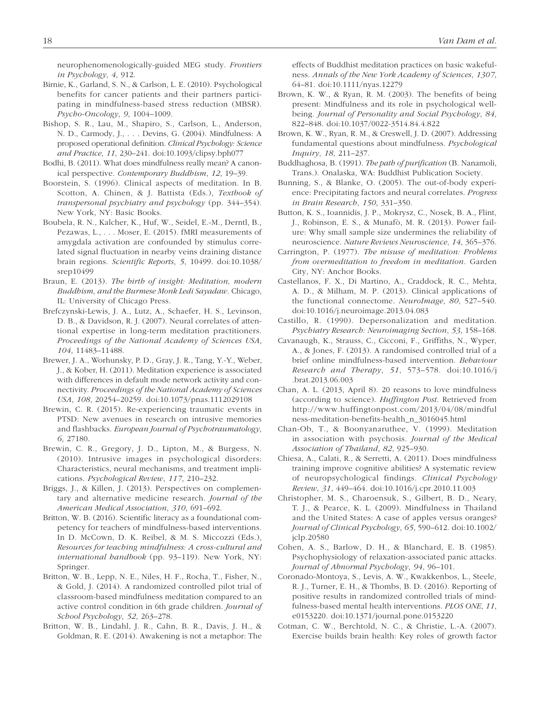neurophenomenologically-guided MEG study. *Frontiers in Psychology*, *4*, 912.

- Birnie, K., Garland, S. N., & Carlson, L. E. (2010). Psychological benefits for cancer patients and their partners participating in mindfulness-based stress reduction (MBSR). *Psycho-Oncology*, *9*, 1004–1009.
- Bishop, S. R., Lau, M., Shapiro, S., Carlson, L., Anderson, N. D., Carmody, J., . . . Devins, G. (2004). Mindfulness: A proposed operational definition. *Clinical Psychology: Science and Practice*, *11*, 230–241. doi:10.1093/clipsy.bph077
- Bodhi, B. (2011). What does mindfulness really mean? A canonical perspective. *Contemporary Buddhism*, *12*, 19–39.
- Boorstein, S. (1996). Clinical aspects of meditation. In B. Scotton, A. Chinen, & J. Battista (Eds.), *Textbook of transpersonal psychiatry and psychology* (pp. 344–354). New York, NY: Basic Books.
- Boubela, R. N., Kalcher, K., Huf, W., Seidel, E.-M., Derntl, B., Pezawas, L., . . . Moser, E. (2015). fMRI measurements of amygdala activation are confounded by stimulus correlated signal fluctuation in nearby veins draining distance brain regions. *Scientific Reports*, *5*, 10499. doi:10.1038/ srep10499
- Braun, E. (2013). *The birth of insight: Meditation, modern Buddhism, and the Burmese Monk Ledi Sayadaw*. Chicago, IL: University of Chicago Press.
- Brefczynski-Lewis, J. A., Lutz, A., Schaefer, H. S., Levinson, D. B., & Davidson, R. J. (2007). Neural correlates of attentional expertise in long-term meditation practitioners. *Proceedings of the National Academy of Sciences USA*, *104*, 11483–11488.
- Brewer, J. A., Worhunsky, P. D., Gray, J. R., Tang, Y.-Y., Weber, J., & Kober, H. (2011). Meditation experience is associated with differences in default mode network activity and connectivity. *Proceedings of the National Academy of Sciences USA*, *108*, 20254–20259. doi:10.1073/pnas.1112029108
- Brewin, C. R. (2015). Re-experiencing traumatic events in PTSD: New avenues in research on intrusive memories and flashbacks. *European Journal of Psychotraumatology*, *6*, 27180.
- Brewin, C. R., Gregory, J. D., Lipton, M., & Burgess, N. (2010). Intrusive images in psychological disorders: Characteristics, neural mechanisms, and treatment implications. *Psychological Review*, *117*, 210–232.
- Briggs, J., & Killen, J. (2013). Perspectives on complementary and alternative medicine research. *Journal of the American Medical Association*, *310*, 691–692.
- Britton, W. B. (2016). Scientific literacy as a foundational competency for teachers of mindfulness-based interventions. In D. McCown, D. K. Reibel, & M. S. Miccozzi (Eds.), *Resources for teaching mindfulness: A cross-cultural and international handbook* (pp. 93–119). New York, NY: Springer.
- Britton, W. B., Lepp, N. E., Niles, H. F., Rocha, T., Fisher, N., & Gold, J. (2014). A randomized controlled pilot trial of classroom-based mindfulness meditation compared to an active control condition in 6th grade children. *Journal of School Psychology*, *52*, 263–278.
- Britton, W. B., Lindahl, J. R., Cahn, B. R., Davis, J. H., & Goldman, R. E. (2014). Awakening is not a metaphor: The

effects of Buddhist meditation practices on basic wakefulness. *Annals of the New York Academy of Sciences*, *1307*, 64–81. doi:10.1111/nyas.12279

- Brown, K. W., & Ryan, R. M. (2003). The benefits of being present: Mindfulness and its role in psychological wellbeing. *Journal of Personality and Social Psychology*, *84*, 822–848. doi:10.1037/0022-3514.84.4.822
- Brown, K. W., Ryan, R. M., & Creswell, J. D. (2007). Addressing fundamental questions about mindfulness. *Psychological Inquiry*, *18*, 211–237.
- Buddhaghosa, B. (1991). *The path of purification* (B. Nanamoli, Trans.). Onalaska, WA: Buddhist Publication Society.
- Bunning, S., & Blanke, O. (2005). The out-of-body experience: Precipitating factors and neural correlates. *Progress in Brain Research*, *150*, 331–350.
- Button, K. S., Ioannidis, J. P., Mokrysz, C., Nosek, B. A., Flint, J., Robinson, E. S., & Munafò, M. R. (2013). Power failure: Why small sample size undermines the reliability of neuroscience. *Nature Reviews Neuroscience*, *14*, 365–376.
- Carrington, P. (1977). *The misuse of meditation: Problems from overmeditation to freedom in meditation*. Garden City, NY: Anchor Books.
- Castellanos, F. X., Di Martino, A., Craddock, R. C., Mehta, A. D., & Milham, M. P. (2013). Clinical applications of the functional connectome. *NeuroImage*, *80*, 527–540. doi:10.1016/j.neuroimage.2013.04.083
- Castillo, R. (1990). Depersonalization and meditation. *Psychiatry Research: Neuroimaging Section*, *53*, 158–168.
- Cavanaugh, K., Strauss, C., Cicconi, F., Griffiths, N., Wyper, A., & Jones, F. (2013). A randomised controlled trial of a brief online mindfulness-based intervention. *Behaviour Research and Therapy*, *51*, 573–578. doi:10.1016/j .brat.2013.06.003
- Chan, A. L. (2013, April 8). 20 reasons to love mindfulness (according to science). *Huffington Post*. Retrieved from http://www.huffingtonpost.com/2013/04/08/mindful ness-meditation-benefits-health\_n\_3016045.html
- Chan-Ob, T., & Boonyanaruthee, V. (1999). Meditation in association with psychosis. *Journal of the Medical Association of Thailand*, *82*, 925–930.
- Chiesa, A., Calati, R., & Serretti, A. (2011). Does mindfulness training improve cognitive abilities? A systematic review of neuropsychological findings. *Clinical Psychology Review*, *31*, 449–464. doi:10.1016/j.cpr.2010.11.003
- Christopher, M. S., Charoensuk, S., Gilbert, B. D., Neary, T. J., & Pearce, K. L. (2009). Mindfulness in Thailand and the United States: A case of apples versus oranges? *Journal of Clinical Psychology*, *65*, 590–612. doi:10.1002/ jclp.20580
- Cohen, A. S., Barlow, D. H., & Blanchard, E. B. (1985). Psychophysiology of relaxation-associated panic attacks. *Journal of Abnormal Psychology*, *94*, 96–101.
- Coronado-Montoya, S., Levis, A. W., Kwakkenbos, L., Steele, R. J., Turner, E. H., & Thombs, B. D. (2016). Reporting of positive results in randomized controlled trials of mindfulness-based mental health interventions. *PLOS ONE*, *11*, e0153220. doi:10.1371/journal.pone.0153220
- Cotman, C. W., Berchtold, N. C., & Christie, L.-A. (2007). Exercise builds brain health: Key roles of growth factor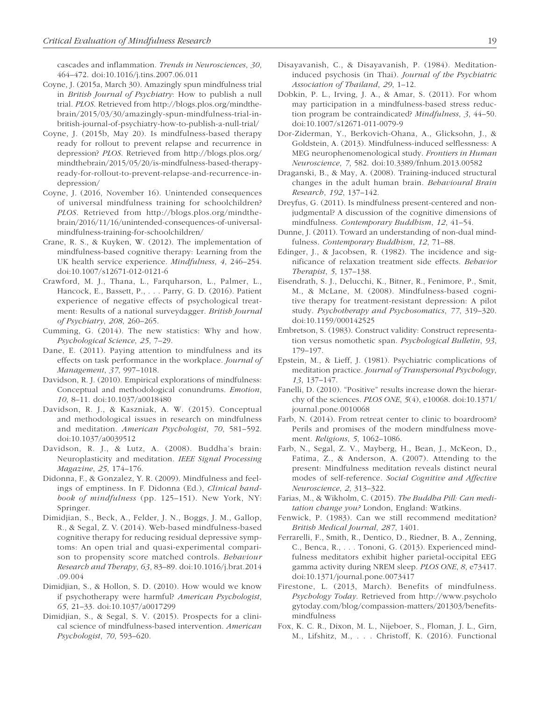cascades and inflammation. *Trends in Neurosciences*, *30*, 464–472. doi:10.1016/j.tins.2007.06.011

- Coyne, J. (2015a, March 30). Amazingly spun mindfulness trial in *British Journal of Psychiatry*: How to publish a null trial. *PLOS*. Retrieved from http://blogs.plos.org/mindthebrain/2015/03/30/amazingly-spun-mindfulness-trial-inbritish-journal-of-psychiatry-how-to-publish-a-null-trial/
- Coyne, J. (2015b, May 20). Is mindfulness-based therapy ready for rollout to prevent relapse and recurrence in depression? *PLOS*. Retrieved from http://blogs.plos.org/ mindthebrain/2015/05/20/is-mindfulness-based-therapyready-for-rollout-to-prevent-relapse-and-recurrence-indepression/
- Coyne, J. (2016, November 16). Unintended consequences of universal mindfulness training for schoolchildren? *PLOS*. Retrieved from http://blogs.plos.org/mindthebrain/2016/11/16/unintended-consequences-of-universalmindfulness-training-for-schoolchildren/
- Crane, R. S., & Kuyken, W. (2012). The implementation of mindfulness-based cognitive therapy: Learning from the UK health service experience. *Mindfulness*, *4*, 246–254. doi:10.1007/s12671-012-0121-6
- Crawford, M. J., Thana, L., Farquharson, L., Palmer, L., Hancock, E., Bassett, P., . . . Parry, G. D. (2016). Patient experience of negative effects of psychological treatment: Results of a national surveydagger. *British Journal of Psychiatry*, *208*, 260–265.
- Cumming, G. (2014). The new statistics: Why and how. *Psychological Science*, *25*, 7–29.
- Dane, E. (2011). Paying attention to mindfulness and its effects on task performance in the workplace. *Journal of Management*, *37*, 997–1018.
- Davidson, R. J. (2010). Empirical explorations of mindfulness: Conceptual and methodological conundrums. *Emotion*, *10*, 8–11. doi:10.1037/a0018480
- Davidson, R. J., & Kaszniak, A. W. (2015). Conceptual and methodological issues in research on mindfulness and meditation. *American Psychologist*, *70*, 581–592. doi:10.1037/a0039512
- Davidson, R. J., & Lutz, A. (2008). Buddha's brain: Neuroplasticity and meditation. *IEEE Signal Processing Magazine*, *25*, 174–176.
- Didonna, F., & Gonzalez, Y. R. (2009). Mindfulness and feelings of emptiness. In F. Didonna (Ed.), *Clinical handbook of mindfulness* (pp. 125–151). New York, NY: Springer.
- Dimidjian, S., Beck, A., Felder, J. N., Boggs, J. M., Gallop, R., & Segal, Z. V. (2014). Web-based mindfulness-based cognitive therapy for reducing residual depressive symptoms: An open trial and quasi-experimental comparison to propensity score matched controls. *Behaviour Research and Therapy*, *63*, 83–89. doi:10.1016/j.brat.2014 .09.004
- Dimidjian, S., & Hollon, S. D. (2010). How would we know if psychotherapy were harmful? *American Psychologist*, *65*, 21–33. doi:10.1037/a0017299
- Dimidjian, S., & Segal, S. V. (2015). Prospects for a clinical science of mindfulness-based intervention. *American Psychologist*, *70*, 593–620.
- Disayavanish, C., & Disayavanish, P. (1984). Meditationinduced psychosis (in Thai). *Journal of the Psychiatric Association of Thailand*, *29*, 1–12.
- Dobkin, P. L., Irving, J. A., & Amar, S. (2011). For whom may participation in a mindfulness-based stress reduction program be contraindicated? *Mindfulness*, *3*, 44–50. doi:10.1007/s12671-011-0079-9
- Dor-Ziderman, Y., Berkovich-Ohana, A., Glicksohn, J., & Goldstein, A. (2013). Mindfulness-induced selflessness: A MEG neurophenomenological study. *Frontiers in Human Neuroscience*, *7*, 582. doi:10.3389/fnhum.2013.00582
- Draganski, B., & May, A. (2008). Training-induced structural changes in the adult human brain. *Behavioural Brain Research*, *192*, 137–142.
- Dreyfus, G. (2011). Is mindfulness present-centered and nonjudgmental? A discussion of the cognitive dimensions of mindfulness. *Contemporary Buddhism*, *12*, 41–54.
- Dunne, J. (2011). Toward an understanding of non-dual mindfulness. *Contemporary Buddhism*, *12*, 71–88.
- Edinger, J., & Jacobsen, R. (1982). The incidence and significance of relaxation treatment side effects. *Behavior Therapist*, *5*, 137–138.
- Eisendrath, S. J., Delucchi, K., Bitner, R., Fenimore, P., Smit, M., & McLane, M. (2008). Mindfulness-based cognitive therapy for treatment-resistant depression: A pilot study. *Psychotherapy and Psychosomatics*, *77*, 319–320. doi:10.1159/000142525
- Embretson, S. (1983). Construct validity: Construct representation versus nomothetic span. *Psychological Bulletin*, *93*, 179–197.
- Epstein, M., & Lieff, J. (1981). Psychiatric complications of meditation practice. *Journal of Transpersonal Psychology*, *13*, 137–147.
- Fanelli, D. (2010). "Positive" results increase down the hierarchy of the sciences. *PLOS ONE*, *5*(4), e10068. doi:10.1371/ journal.pone.0010068
- Farb, N. (2014). From retreat center to clinic to boardroom? Perils and promises of the modern mindfulness movement. *Religions*, *5*, 1062–1086.
- Farb, N., Segal, Z. V., Mayberg, H., Bean, J., McKeon, D., Fatima, Z., & Anderson, A. (2007). Attending to the present: Mindfulness meditation reveals distinct neural modes of self-reference. *Social Cognitive and Affective Neuroscience*, *2*, 313–322.
- Farias, M., & Wikholm, C. (2015). *The Buddha Pill: Can meditation change you?* London, England: Watkins.
- Fenwick, P. (1983). Can we still recommend meditation? *British Medical Journal*, *287*, 1401.
- Ferrarelli, F., Smith, R., Dentico, D., Riedner, B. A., Zenning, C., Benca, R., . . . Tononi, G. (2013). Experienced mindfulness meditators exhibit higher parietal-occipital EEG gamma activity during NREM sleep. *PLOS ONE*, *8*, e73417. doi:10.1371/journal.pone.0073417
- Firestone, L. (2013, March). Benefits of mindfulness. *Psychology Today*. Retrieved from http://www.psycholo gytoday.com/blog/compassion-matters/201303/benefitsmindfulness
- Fox, K. C. R., Dixon, M. L., Nijeboer, S., Floman, J. L., Girn, M., Lifshitz, M., . . . Christoff, K. (2016). Functional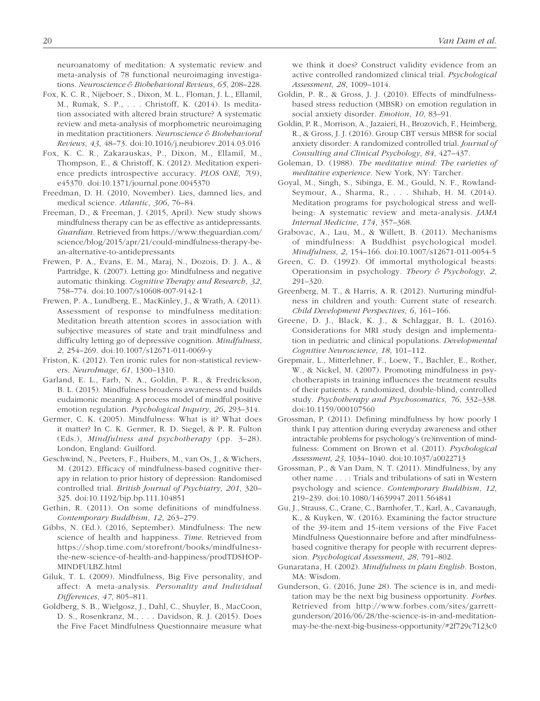neuroanatomy of meditation: A systematic review and meta-analysis of 78 functional neuroimaging investigations. *Neuroscience & Biobehavioral Reviews*, *65*, 208–228.

- Fox, K. C. R., Nijeboer, S., Dixon, M. L., Floman, J. L., Ellamil, M., Rumak, S. P., . . . Christoff, K. (2014). Is meditation associated with altered brain structure? A systematic review and meta-analysis of morphometric neuroimaging in meditation practitioners. *Neuroscience & Biobehavioral Reviews*, *43*, 48–73. doi:10.1016/j.neubiorev.2014.03.016
- Fox, K. C. R., Zakarauskas, P., Dixon, M., Ellamil, M., Thompson, E., & Christoff, K. (2012). Meditation experience predicts introspective accuracy. *PLOS ONE*, *7*(9), e45370. doi:10.1371/journal.pone.0045370
- Freedman, D. H. (2010, November). Lies, damned lies, and medical science. *Atlantic*, *306*, 76–84.
- Freeman, D., & Freeman, J. (2015, April). New study shows mindfulness therapy can be as effective as antidepressants. *Guardian*. Retrieved from https://www.theguardian.com/ science/blog/2015/apr/21/could-mindfulness-therapy-bean-alternative-to-antidepressants
- Frewen, P. A., Evans, E. M., Maraj, N., Dozois, D. J. A., & Partridge, K. (2007). Letting go: Mindfulness and negative automatic thinking. *Cognitive Therapy and Research*, *32*, 758–774. doi:10.1007/s10608-007-9142-1
- Frewen, P. A., Lundberg, E., MacKinley, J., & Wrath, A. (2011). Assessment of response to mindfulness meditation: Meditation breath attention scores in association with subjective measures of state and trait mindfulness and difficulty letting go of depressive cognition. *Mindfulness*, *2*, 254–269. doi:10.1007/s12671-011-0069-y
- Friston, K. (2012). Ten ironic rules for non-statistical reviewers. *NeuroImage*, *61*, 1300–1310.
- Garland, E. L., Farb, N. A., Goldin, P. R., & Fredrickson, B. L. (2015). Mindfulness broadens awareness and builds eudaimonic meaning: A process model of mindful positive emotion regulation. *Psychological Inquiry*, *26*, 293–314.
- Germer, C. K. (2005). Mindfulness: What is it? What does it matter? In C. K. Germer, R. D. Siegel, & P. R. Fulton (Eds.), *Mindfulness and psychotherapy* (pp. 3–28). London, England: Guilford.
- Geschwind, N., Peeters, F., Huibers, M., van Os, J., & Wichers, M. (2012). Efficacy of mindfulness-based cognitive therapy in relation to prior history of depression: Randomised controlled trial. *British Journal of Psychiatry*, *201*, 320– 325. doi:10.1192/bjp.bp.111.104851
- Gethin, R. (2011). On some definitions of mindfulness. *Contemporary Buddhism*, *12*, 263–279.
- Gibbs, N. (Ed.). (2016, September). Mindfulness: The new science of health and happiness. *Time*. Retrieved from https://shop.time.com/storefront/books/mindfulnessthe-new-science-of-health-and-happiness/prodTDSHOP-MINDFULBZ.html
- Giluk, T. L. (2009). Mindfulness, Big Five personality, and affect: A meta-analysis. *Personality and Individual Differences*, *47*, 805–811.
- Goldberg, S. B., Wielgosz, J., Dahl, C., Shuyler, B., MacCoon, D. S., Rosenkranz, M., . . . Davidson, R. J. (2015). Does the Five Facet Mindfulness Questionnaire measure what

we think it does? Construct validity evidence from an active controlled randomized clinical trial. *Psychological Assessment*, *28*, 1009–1014.

- Goldin, P. R., & Gross, J. J. (2010). Effects of mindfulnessbased stress reduction (MBSR) on emotion regulation in social anxiety disorder. *Emotion*, *10*, 83–91.
- Goldin, P. R., Morrison, A., Jazaieri, H., Brozovich, F., Heimberg, R., & Gross, J. J. (2016). Group CBT versus MBSR for social anxiety disorder: A randomized controlled trial. *Journal of Consulting and Clinical Psychology*, *84*, 427–437.
- Goleman, D. (1988). *The meditative mind: The varieties of meditative experience*. New York, NY: Tarcher.
- Goyal, M., Singh, S., Sibinga, E. M., Gould, N. F., Rowland-Seymour, A., Sharma, R., . . . Shihab, H. M. (2014). Meditation programs for psychological stress and wellbeing: A systematic review and meta-analysis. *JAMA Internal Medicine*, *174*, 357–368.
- Grabovac, A., Lau, M., & Willett, B. (2011). Mechanisms of mindfulness: A Buddhist psychological model. *Mindfulness*, *2*, 154–166. doi:10.1007/s12671-011-0054-5
- Green, C. D. (1992). Of immortal mythological beasts: Operationsim in psychology. *Theory & Psychology*, *2*, 291–320.
- Greenberg, M. T., & Harris, A. R. (2012). Nurturing mindfulness in children and youth: Current state of research. *Child Development Perspectives*, *6*, 161–166.
- Greene, D. J., Black, K. J., & Schlaggar, B. L. (2016). Considerations for MRI study design and implementation in pediatric and clinical populations. *Developmental Cognitive Neuroscience*, *18*, 101–112.
- Grepmair, L., Mitterlehner, F., Loew, T., Bachler, E., Rother, W., & Nickel, M. (2007). Promoting mindfulness in psychotherapists in training influences the treatment results of their patients: A randomized, double-blind, controlled study. *Psychotherapy and Psychosomatics*, *76*, 332–338. doi:10.1159/000107560
- Grossman, P. (2011). Defining mindfulness by how poorly I think I pay attention during everyday awareness and other intractable problems for psychology's (re)invention of mindfulness: Comment on Brown et al. (2011). *Psychological Assessment*, *23*, 1034–1040. doi:10.1037/a0022713
- Grossman, P., & Van Dam, N. T. (2011). Mindfulness, by any other name . . . : Trials and tribulations of sati in Western psychology and science. *Contemporary Buddhism*, *12*, 219–239. doi:10.1080/14639947.2011.564841
- Gu, J., Strauss, C., Crane, C., Barnhofer, T., Karl, A., Cavanaugh, K., & Kuyken, W. (2016). Examining the factor structure of the 39-item and 15-item versions of the Five Facet Mindfulness Questionnaire before and after mindfulnessbased cognitive therapy for people with recurrent depression. *Psychological Assessment*, *28*, 791–802.
- Gunaratana, H. (2002). *Mindfulness in plain English*. Boston, MA: Wisdom.
- Gunderson, G. (2016, June 28). The science is in, and meditation may be the next big business opportunity. *Forbes*. Retrieved from http://www.forbes.com/sites/garrettgunderson/2016/06/28/the-science-is-in-and-meditationmay-be-the-next-big-business-opportunity/#2f729c7123c0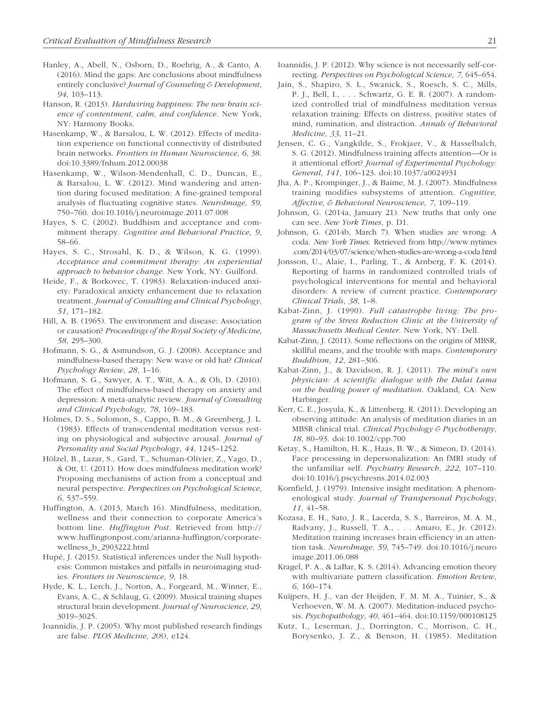- Hanley, A., Abell, N., Osborn, D., Roehrig, A., & Canto, A. (2016). Mind the gaps: Are conclusions about mindfulness entirely conclusive? *Journal of Counseling & Development*, *94*, 103–113.
- Hanson, R. (2013). *Hardwiring happiness: The new brain science of contentment, calm, and confidence*. New York, NY: Harmony Books.
- Hasenkamp, W., & Barsalou, L. W. (2012). Effects of meditation experience on functional connectivity of distributed brain networks. *Frontiers in Human Neuroscience*, *6*, 38. doi:10.3389/fnhum.2012.00038
- Hasenkamp, W., Wilson-Mendenhall, C. D., Duncan, E., & Barsalou, L. W. (2012). Mind wandering and attention during focused meditation: A fine-grained temporal analysis of fluctuating cognitive states. *NeuroImage*, *59*, 750–760. doi:10.1016/j.neuroimage.2011.07.008
- Hayes, S. C. (2002). Buddhism and acceptance and commitment therapy. *Cognitive and Behavioral Practice*, *9*, 58–66.
- Hayes, S. C., Strosahl, K. D., & Wilson, K. G. (1999). *Acceptance and commitment therapy: An experiential approach to behavior change*. New York, NY: Guilford.
- Heide, F., & Borkovec, T. (1983). Relaxation-induced anxiety: Paradoxical anxiety enhancement due to relaxation treatment. *Journal of Consulting and Clinical Psychology*, *51*, 171–182.
- Hill, A. B. (1965). The environment and disease: Association or causation? *Proceedings of the Royal Society of Medicine*, *58*, 295–300.
- Hofmann, S. G., & Asmundson, G. J. (2008). Acceptance and mindfulness-based therapy: New wave or old hat? *Clinical Psychology Review*, *28*, 1–16.
- Hofmann, S. G., Sawyer, A. T., Witt, A. A., & Oh, D. (2010). The effect of mindfulness-based therapy on anxiety and depression: A meta-analytic review. *Journal of Consulting and Clinical Psychology*, *78*, 169–183.
- Holmes, D. S., Solomon, S., Cappo, B. M., & Greenberg, J. L. (1983). Effects of transcendental meditation versus resting on physiological and subjective arousal. *Journal of Personality and Social Psychology*, *44*, 1245–1252.
- Hölzel, B., Lazar, S., Gard, T., Schuman-Olivier, Z., Vago, D., & Ott, U. (2011). How does mindfulness meditation work? Proposing mechanisms of action from a conceptual and neural perspective. *Perspectives on Psychological Science*, *6*, 537–559.
- Huffington, A. (2013, March 16). Mindfulness, meditation, wellness and their connection to corporate America's bottom line. *Huffington Post*. Retrieved from http:// www.huffingtonpost.com/arianna-huffington/corporatewellness\_b\_2903222.html
- Hupé, J. (2015). Statistical inferences under the Null hypothesis: Common mistakes and pitfalls in neuroimaging studies. *Frontiers in Neuroscience*, *9*, 18.
- Hyde, K. L., Lerch, J., Norton, A., Forgeard, M., Winner, E., Evans, A. C., & Schlaug, G. (2009). Musical training shapes structural brain development. *Journal of Neuroscience*, *29*, 3019–3025.
- Ioannidis, J. P. (2005). Why most published research findings are false. *PLOS Medicine*, *2*(8), e124.
- Jain, S., Shapiro, S. L., Swanick, S., Roesch, S. C., Mills, P. J., Bell, I., . . . Schwartz, G. E. R. (2007). A randomized controlled trial of mindfulness meditation versus relaxation training: Effects on distress, positive states of mind, rumination, and distraction. *Annals of Behavioral Medicine*, *33*, 11–21.
- Jensen, C. G., Vangkilde, S., Frokjaer, V., & Hasselbalch, S. G. (2012). Mindfulness training affects attention—Or is it attentional effort? *Journal of Experimental Psychology: General*, *141*, 106–123. doi:10.1037/a0024931
- Jha, A. P., Krompinger, J., & Baime, M. J. (2007). Mindfulness training modifies subsystems of attention. *Cognitive, Affective, & Behavioral Neuroscience*, *7*, 109–119.
- Johnson, G. (2014a, January 21). New truths that only one can see. *New York Times*, p. D1.
- Johnson, G. (2014b, March 7). When studies are wrong: A coda. *New York Times*. Retrieved from http://www.nytimes .com/2014/03/07/science/when-studies-are-wrong-a-coda.html
- Jonsson, U., Alaie, I., Parling, T., & Arnberg, F. K. (2014). Reporting of harms in randomized controlled trials of psychological interventions for mental and behavioral disorders: A review of current practice. *Contemporary Clinical Trials*, *38*, 1–8.
- Kabat-Zinn, J. (1990). *Full catastrophe living: The program of the Stress Reduction Clinic at the University of Massachusetts Medical Center*. New York, NY: Dell.
- Kabat-Zinn, J. (2011). Some reflections on the origins of MBSR, skillful means, and the trouble with maps. *Contemporary Buddhism*, *12*, 281–306.
- Kabat-Zinn, J., & Davidson, R. J. (2011). *The mind's own physician: A scientific dialogue with the Dalai Lama on the healing power of meditation*. Oakland, CA: New Harbinger.
- Kerr, C. E., Josyula, K., & Littenberg, R. (2011). Developing an observing attitude: An analysis of meditation diaries in an MBSR clinical trial. *Clinical Psychology & Psychotherapy*, *18*, 80–93. doi:10.1002/cpp.700
- Ketay, S., Hamilton, H. K., Haas, B. W., & Simeon, D. (2014). Face processing in depersonalization: An fMRI study of the unfamiliar self. *Psychiatry Research*, *222*, 107–110. doi:10.1016/j.pscychresns.2014.02.003
- Kornfield, J. (1979). Intensive insight meditation: A phenomenological study. *Journal of Transpersonal Psychology*, *11*, 41–58.
- Kozasa, E. H., Sato, J. R., Lacerda, S. S., Barreiros, M. A. M., Radvany, J., Russell, T. A., . . . Amaro, E., Jr. (2012). Meditation training increases brain efficiency in an attention task. *NeuroImage*, *59*, 745–749. doi:10.1016/j.neuro image.2011.06.088
- Kragel, P. A., & LaBar, K. S. (2014). Advancing emotion theory with multivariate pattern classification. *Emotion Review*, *6*, 160–174.
- Kuijpers, H. J., van der Heijden, F. M. M. A., Tuinier, S., & Verhoeven, W. M. A. (2007). Meditation-induced psychosis. *Psychopathology*, *40*, 461–464. doi:10.1159/000108125
- Kutz, I., Leserman, J., Dorrington, C., Morrison, C. H., Borysenko, J. Z., & Benson, H. (1985). Meditation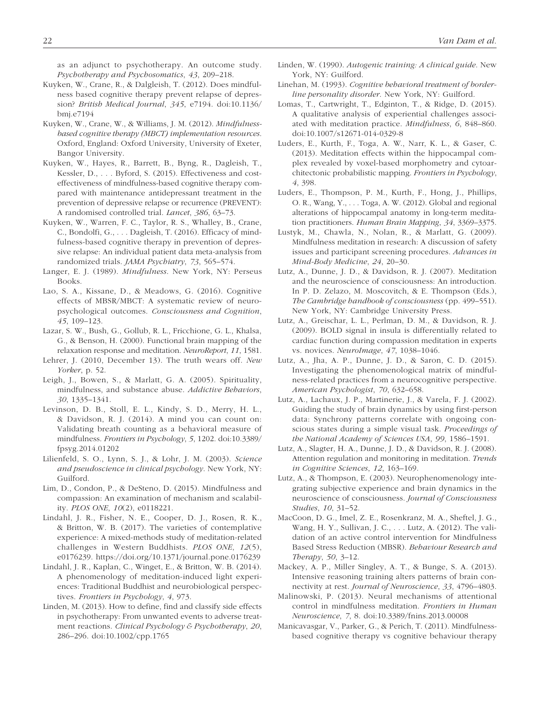as an adjunct to psychotherapy. An outcome study. *Psychotherapy and Psychosomatics*, *43*, 209–218.

- Kuyken, W., Crane, R., & Dalgleish, T. (2012). Does mindfulness based cognitive therapy prevent relapse of depression? *British Medical Journal*, *345*, e7194. doi:10.1136/ bmj.e7194
- Kuyken, W., Crane, W., & Williams, J. M. (2012). *Mindfulnessbased cognitive therapy (MBCT) implementation resources*. Oxford, England: Oxford University, University of Exeter, Bangor University.
- Kuyken, W., Hayes, R., Barrett, B., Byng, R., Dagleish, T., Kessler, D., . . . Byford, S. (2015). Effectiveness and costeffectiveness of mindfulness-based cognitive therapy compared with maintenance antidepressant treatment in the prevention of depressive relapse or recurrence (PREVENT): A randomised controlled trial. *Lancet*, *386*, 63–73.
- Kuyken, W., Warren, F. C., Taylor, R. S., Whalley, B., Crane, C., Bondolfi, G., . . . Dagleish, T. (2016). Efficacy of mindfulness-based cognitive therapy in prevention of depressive relapse: An individual patient data meta-analysis from randomized trials. *JAMA Psychiatry*, *73*, 565–574.
- Langer, E. J. (1989). *Mindfulness*. New York, NY: Perseus Books.
- Lao, S. A., Kissane, D., & Meadows, G. (2016). Cognitive effects of MBSR/MBCT: A systematic review of neuropsychological outcomes. *Consciousness and Cognition*, *45*, 109–123.
- Lazar, S. W., Bush, G., Gollub, R. L., Fricchione, G. L., Khalsa, G., & Benson, H. (2000). Functional brain mapping of the relaxation response and meditation. *NeuroReport*, *11*, 1581.
- Lehrer, J. (2010, December 13). The truth wears off. *New Yorker*, p. 52.
- Leigh, J., Bowen, S., & Marlatt, G. A. (2005). Spirituality, mindfulness, and substance abuse. *Addictive Behaviors*, *30*, 1335–1341.
- Levinson, D. B., Stoll, E. L., Kindy, S. D., Merry, H. L., & Davidson, R. J. (2014). A mind you can count on: Validating breath counting as a behavioral measure of mindfulness. *Frontiers in Psychology*, *5*, 1202. doi:10.3389/ fpsyg.2014.01202
- Lilienfeld, S. O., Lynn, S. J., & Lohr, J. M. (2003). *Science and pseudoscience in clinical psychology*. New York, NY: Guilford.
- Lim, D., Condon, P., & DeSteno, D. (2015). Mindfulness and compassion: An examination of mechanism and scalability. *PLOS ONE*, *10*(2), e0118221.
- Lindahl, J. R., Fisher, N. E., Cooper, D. J., Rosen, R. K., & Britton, W. B. (2017). The varieties of contemplative experience: A mixed-methods study of meditation-related challenges in Western Buddhists. *PLOS ONE*, *12*(5), e0176239. https://doi.org/10.1371/journal.pone.0176239
- Lindahl, J. R., Kaplan, C., Winget, E., & Britton, W. B. (2014). A phenomenology of meditation-induced light experiences: Traditional Buddhist and neurobiological perspectives. *Frontiers in Psychology*, *4*, 973.
- Linden, M. (2013). How to define, find and classify side effects in psychotherapy: From unwanted events to adverse treatment reactions. *Clinical Psychology & Psychotherapy*, *20*, 286–296. doi:10.1002/cpp.1765
- Linden, W. (1990). *Autogenic training: A clinical guide*. New York, NY: Guilford.
- Linehan, M. (1993). *Cognitive behavioral treatment of borderline personality disorder*. New York, NY: Guilford.
- Lomas, T., Cartwright, T., Edginton, T., & Ridge, D. (2015). A qualitative analysis of experiential challenges associated with meditation practice. *Mindfulness*, *6*, 848–860. doi:10.1007/s12671-014-0329-8
- Luders, E., Kurth, F., Toga, A. W., Narr, K. L., & Gaser, C. (2013). Meditation effects within the hippocampal complex revealed by voxel-based morphometry and cytoarchitectonic probabilistic mapping. *Frontiers in Psychology*, *4*, 398.
- Luders, E., Thompson, P. M., Kurth, F., Hong, J., Phillips, O. R., Wang, Y., . . . Toga, A. W. (2012). Global and regional alterations of hippocampal anatomy in long-term meditation practitioners. *Human Brain Mapping*, *34*, 3369–3375.
- Lustyk, M., Chawla, N., Nolan, R., & Marlatt, G. (2009). Mindfulness meditation in research: A discussion of safety issues and participant screening procedures. *Advances in Mind-Body Medicine*, *24*, 20–30.
- Lutz, A., Dunne, J. D., & Davidson, R. J. (2007). Meditation and the neuroscience of consciousness: An introduction. In P. D. Zelazo, M. Moscovitch, & E. Thompson (Eds.), *The Cambridge handbook of consciousness* (pp. 499–551). New York, NY: Cambridge University Press.
- Lutz, A., Greischar, L. L., Perlman, D. M., & Davidson, R. J. (2009). BOLD signal in insula is differentially related to cardiac function during compassion meditation in experts vs. novices. *NeuroImage*, *47*, 1038–1046.
- Lutz, A., Jha, A. P., Dunne, J. D., & Saron, C. D. (2015). Investigating the phenomenological matrix of mindfulness-related practices from a neurocognitive perspective. *American Psychologist*, *70*, 632–658.
- Lutz, A., Lachaux, J. P., Martinerie, J., & Varela, F. J. (2002). Guiding the study of brain dynamics by using first-person data: Synchrony patterns correlate with ongoing conscious states during a simple visual task. *Proceedings of the National Academy of Sciences USA*, *99*, 1586–1591.
- Lutz, A., Slagter, H. A., Dunne, J. D., & Davidson, R. J. (2008). Attention regulation and monitoring in meditation. *Trends in Cognitive Sciences*, *12*, 163–169.
- Lutz, A., & Thompson, E. (2003). Neurophenomenology integrating subjective experience and brain dynamics in the neuroscience of consciousness. *Journal of Consciousness Studies*, *10*, 31–52.
- MacCoon, D. G., Imel, Z. E., Rosenkranz, M. A., Sheftel, J. G., Wang, H. Y., Sullivan, J. C., . . . Lutz, A. (2012). The validation of an active control intervention for Mindfulness Based Stress Reduction (MBSR). *Behaviour Research and Therapy*, *50*, 3–12.
- Mackey, A. P., Miller Singley, A. T., & Bunge, S. A. (2013). Intensive reasoning training alters patterns of brain connectivity at rest. *Journal of Neuroscience*, *33*, 4796–4803.
- Malinowski, P. (2013). Neural mechanisms of attentional control in mindfulness meditation. *Frontiers in Human Neuroscience*, *7*, 8. doi:10.3389/fnins.2013.00008
- Manicavasgar, V., Parker, G., & Perich, T. (2011). Mindfulnessbased cognitive therapy vs cognitive behaviour therapy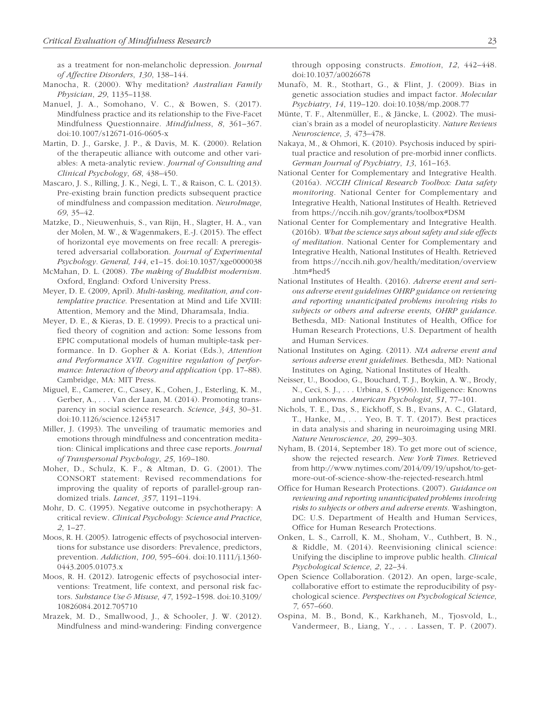as a treatment for non-melancholic depression. *Journal of Affective Disorders*, *130*, 138–144.

- Manocha, R. (2000). Why meditation? *Australian Family Physician*, *29*, 1135–1138.
- Manuel, J. A., Somohano, V. C., & Bowen, S. (2017). Mindfulness practice and its relationship to the Five-Facet Mindfulness Questionnaire. *Mindfulness*, *8*, 361–367. doi:10.1007/s12671-016-0605-x
- Martin, D. J., Garske, J. P., & Davis, M. K. (2000). Relation of the therapeutic alliance with outcome and other variables: A meta-analytic review. *Journal of Consulting and Clinical Psychology*, *68*, 438–450.
- Mascaro, J. S., Rilling, J. K., Negi, L. T., & Raison, C. L. (2013). Pre-existing brain function predicts subsequent practice of mindfulness and compassion meditation. *NeuroImage*, *69*, 35–42.
- Matzke, D., Nieuwenhuis, S., van Rijn, H., Slagter, H. A., van der Molen, M. W., & Wagenmakers, E.-J. (2015). The effect of horizontal eye movements on free recall: A preregistered adversarial collaboration. *Journal of Experimental Psychology. General, 144*, e1–15. doi:10.1037/xge0000038
- McMahan, D. L. (2008). *The making of Buddhist modernism*. Oxford, England: Oxford University Press.
- Meyer, D. E. (2009, April). *Multi-tasking, meditation, and contemplative practice*. Presentation at Mind and Life XVIII: Attention, Memory and the Mind, Dharamsala, India.
- Meyer, D. E., & Kieras, D. E. (1999). Precis to a practical unified theory of cognition and action: Some lessons from EPIC computational models of human multiple-task performance. In D. Gopher & A. Koriat (Eds.), *Attention and Performance XVII. Cognitive regulation of performance: Interaction of theory and application* (pp. 17–88). Cambridge, MA: MIT Press.
- Miguel, E., Camerer, C., Casey, K., Cohen, J., Esterling, K. M., Gerber, A., . . . Van der Laan, M. (2014). Promoting transparency in social science research. *Science*, *343*, 30–31. doi:10.1126/science.1245317
- Miller, J. (1993). The unveiling of traumatic memories and emotions through mindfulness and concentration meditation: Clinical implications and three case reports. *Journal of Transpersonal Psychology*, *25*, 169–180.
- Moher, D., Schulz, K. F., & Altman, D. G. (2001). The CONSORT statement: Revised recommendations for improving the quality of reports of parallel-group randomized trials. *Lancet*, *357*, 1191–1194.
- Mohr, D. C. (1995). Negative outcome in psychotherapy: A critical review. *Clinical Psychology: Science and Practice*, *2*, 1–27.
- Moos, R. H. (2005). Iatrogenic effects of psychosocial interventions for substance use disorders: Prevalence, predictors, prevention. *Addiction*, *100*, 595–604. doi:10.1111/j.1360- 0443.2005.01073.x
- Moos, R. H. (2012). Iatrogenic effects of psychosocial interventions: Treatment, life context, and personal risk factors. *Substance Use & Misuse*, *47*, 1592–1598. doi:10.3109/ 10826084.2012.705710
- Mrazek, M. D., Smallwood, J., & Schooler, J. W. (2012). Mindfulness and mind-wandering: Finding convergence

through opposing constructs. *Emotion*, *12*, 442–448. doi:10.1037/a0026678

- Munafò, M. R., Stothart, G., & Flint, J. (2009). Bias in genetic association studies and impact factor. *Molecular Psychiatry*, *14*, 119–120. doi:10.1038/mp.2008.77
- Münte, T. F., Altenmüller, E., & Jäncke, L. (2002). The musician's brain as a model of neuroplasticity. *Nature Reviews Neuroscience*, *3*, 473–478.
- Nakaya, M., & Ohmori, K. (2010). Psychosis induced by spiritual practice and resolution of pre-morbid inner conflicts. *German Journal of Psychiatry*, *13*, 161–163.
- National Center for Complementary and Integrative Health. (2016a). *NCCIH Clinical Research Toolbox: Data safety monitoring*. National Center for Complementary and Integrative Health, National Institutes of Health. Retrieved from https://nccih.nih.gov/grants/toolbox#DSM
- National Center for Complementary and Integrative Health. (2016b). *What the science says about safety and side effects of meditation*. National Center for Complementary and Integrative Health, National Institutes of Health. Retrieved from https://nccih.nih.gov/health/meditation/overview .htm#hed5
- National Institutes of Health. (2016). *Adverse event and serious adverse event guidelines OHRP guidance on reviewing and reporting unanticipated problems involving risks to subjects or others and adverse events, OHRP guidance*. Bethesda, MD: National Institutes of Health, Office for Human Research Protections, U.S. Department of health and Human Services.
- National Institutes on Aging. (2011). *NIA adverse event and serious adverse event guidelines*. Bethesda, MD: National Institutes on Aging, National Institutes of Health.
- Neisser, U., Boodoo, G., Bouchard, T. J., Boykin, A. W., Brody, N., Ceci, S. J., . . . Urbina, S. (1996). Intelligence: Knowns and unknowns. *American Psychologist*, *51*, 77–101.
- Nichols, T. E., Das, S., Eickhoff, S. B., Evans, A. C., Glatard, T., Hanke, M., . . . Yeo, B. T. T. (2017). Best practices in data analysis and sharing in neuroimaging using MRI. *Nature Neuroscience*, *20*, 299–303.
- Nyham, B. (2014, September 18). To get more out of science, show the rejected research. *New York Times*. Retrieved from http://www.nytimes.com/2014/09/19/upshot/to-getmore-out-of-science-show-the-rejected-research.html
- Office for Human Research Protections. (2007). *Guidance on reviewing and reporting unanticipated problems involving risks to subjects or others and adverse events*. Washington, DC: U.S. Department of Health and Human Services, Office for Human Research Protections.
- Onken, L. S., Carroll, K. M., Shoham, V., Cuthbert, B. N., & Riddle, M. (2014). Reenvisioning clinical science: Unifying the discipline to improve public health. *Clinical Psychological Science*, *2*, 22–34.
- Open Science Collaboration. (2012). An open, large-scale, collaborative effort to estimate the reproducibility of psychological science. *Perspectives on Psychological Science*, *7*, 657–660.
- Ospina, M. B., Bond, K., Karkhaneh, M., Tjosvold, L., Vandermeer, B., Liang, Y., . . . Lassen, T. P. (2007).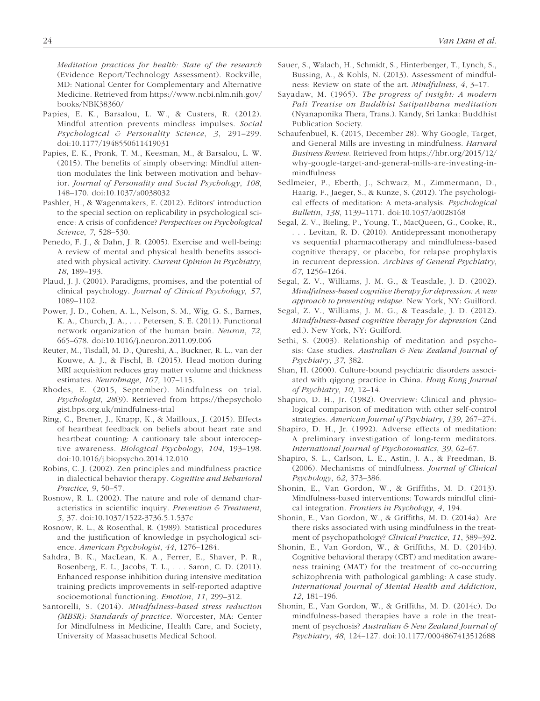*Meditation practices for health: State of the research*  (Evidence Report/Technology Assessment). Rockville, MD: National Center for Complementary and Alternative Medicine. Retrieved from https://www.ncbi.nlm.nih.gov/ books/NBK38360/

- Papies, E. K., Barsalou, L. W., & Custers, R. (2012). Mindful attention prevents mindless impulses. *Social Psychological & Personality Science*, *3*, 291–299. doi:10.1177/1948550611419031
- Papies, E. K., Pronk, T. M., Keesman, M., & Barsalou, L. W. (2015). The benefits of simply observing: Mindful attention modulates the link between motivation and behavior. *Journal of Personality and Social Psychology*, *108*, 148–170. doi:10.1037/a0038032
- Pashler, H., & Wagenmakers, E. (2012). Editors' introduction to the special section on replicability in psychological science: A crisis of confidence? *Perspectives on Psychological Science*, *7*, 528–530.
- Penedo, F. J., & Dahn, J. R. (2005). Exercise and well-being: A review of mental and physical health benefits associated with physical activity. *Current Opinion in Psychiatry*, *18*, 189–193.
- Plaud, J. J. (2001). Paradigms, promises, and the potential of clinical psychology. *Journal of Clinical Psychology*, *57*, 1089–1102.
- Power, J. D., Cohen, A. L., Nelson, S. M., Wig, G. S., Barnes, K. A., Church, J. A., . . . Petersen, S. E. (2011). Functional network organization of the human brain. *Neuron*, *72*, 665–678. doi:10.1016/j.neuron.2011.09.006
- Reuter, M., Tisdall, M. D., Qureshi, A., Buckner, R. L., van der Kouwe, A. J., & Fischl, B. (2015). Head motion during MRI acquisition reduces gray matter volume and thickness estimates. *NeuroImage*, *107*, 107–115.
- Rhodes, E. (2015, September). Mindfulness on trial. *Psychologist*, *28*(9). Retrieved from https://thepsycholo gist.bps.org.uk/mindfulness-trial
- Ring, C., Brener, J., Knapp, K., & Mailloux, J. (2015). Effects of heartbeat feedback on beliefs about heart rate and heartbeat counting: A cautionary tale about interoceptive awareness. *Biological Psychology*, *104*, 193–198. doi:10.1016/j.biopsycho.2014.12.010
- Robins, C. J. (2002). Zen principles and mindfulness practice in dialectical behavior therapy. *Cognitive and Behavioral Practice*, *9*, 50–57.
- Rosnow, R. L. (2002). The nature and role of demand characteristics in scientific inquiry. *Prevention & Treatment*, *5*, 37. doi:10.1037/1522-3736.5.1.537c
- Rosnow, R. L., & Rosenthal, R. (1989). Statistical procedures and the justification of knowledge in psychological science. *American Psychologist*, *44*, 1276–1284.
- Sahdra, B. K., MacLean, K. A., Ferrer, E., Shaver, P. R., Rosenberg, E. L., Jacobs, T. L., . . . Saron, C. D. (2011). Enhanced response inhibition during intensive meditation training predicts improvements in self-reported adaptive socioemotional functioning. *Emotion*, *11*, 299–312.
- Santorelli, S. (2014). *Mindfulness-based stress reduction (MBSR): Standards of practice*. Worcester, MA: Center for Mindfulness in Medicine, Health Care, and Society, University of Massachusetts Medical School.
- Sauer, S., Walach, H., Schmidt, S., Hinterberger, T., Lynch, S., Bussing, A., & Kohls, N. (2013). Assessment of mindfulness: Review on state of the art. *Mindfulness*, *4*, 3–17.
- Sayadaw, M. (1965). *The progress of insight: A modern Pali Treatise on Buddhist Satipatthana meditation* (Nyanaponika Thera, Trans.). Kandy, Sri Lanka: Buddhist Publication Society.
- Schaufenbuel, K. (2015, December 28). Why Google, Target, and General Mills are investing in mindfulness. *Harvard Business Review*. Retrieved from https://hbr.org/2015/12/ why-google-target-and-general-mills-are-investing-inmindfulness
- Sedlmeier, P., Eberth, J., Schwarz, M., Zimmermann, D., Haarig, F., Jaeger, S., & Kunze, S. (2012). The psychological effects of meditation: A meta-analysis. *Psychological Bulletin*, *138*, 1139–1171. doi:10.1037/a0028168
- Segal, Z. V., Bieling, P., Young, T., MacQueen, G., Cooke, R., . . . Levitan, R. D. (2010). Antidepressant monotherapy vs sequential pharmacotherapy and mindfulness-based cognitive therapy, or placebo, for relapse prophylaxis in recurrent depression. *Archives of General Psychiatry*, *67*, 1256–1264.
- Segal, Z. V., Williams, J. M. G., & Teasdale, J. D. (2002). *Mindfulness-based cognitive therapy for depression: A new approach to preventing relapse*. New York, NY: Guilford.
- Segal, Z. V., Williams, J. M. G., & Teasdale, J. D. (2012). *Mindfulness-based cognitive therapy for depression* (2nd ed.). New York, NY: Guilford.
- Sethi, S. (2003). Relationship of meditation and psychosis: Case studies. *Australian & New Zealand Journal of Psychiatry*, *37*, 382.
- Shan, H. (2000). Culture-bound psychiatric disorders associated with qigong practice in China. *Hong Kong Journal of Psychiatry*, *10*, 12–14.
- Shapiro, D. H., Jr. (1982). Overview: Clinical and physiological comparison of meditation with other self-control strategies. *American Journal of Psychiatry*, *139*, 267–274.
- Shapiro, D. H., Jr. (1992). Adverse effects of meditation: A preliminary investigation of long-term meditators. *International Journal of Psychosomatics*, *39*, 62–67.
- Shapiro, S. L., Carlson, L. E., Astin, J. A., & Freedman, B. (2006). Mechanisms of mindfulness. *Journal of Clinical Psychology*, *62*, 373–386.
- Shonin, E., Van Gordon, W., & Griffiths, M. D. (2013). Mindfulness-based interventions: Towards mindful clinical integration. *Frontiers in Psychology*, *4*, 194.
- Shonin, E., Van Gordon, W., & Griffiths, M. D. (2014a). Are there risks associated with using mindfulness in the treatment of psychopathology? *Clinical Practice*, *11*, 389–392.
- Shonin, E., Van Gordon, W., & Griffiths, M. D. (2014b). Cognitive behavioral therapy (CBT) and meditation awareness training (MAT) for the treatment of co-occurring schizophrenia with pathological gambling: A case study. *International Journal of Mental Health and Addiction*, *12*, 181–196.
- Shonin, E., Van Gordon, W., & Griffiths, M. D. (2014c). Do mindfulness-based therapies have a role in the treatment of psychosis? *Australian & New Zealand Journal of Psychiatry*, *48*, 124–127. doi:10.1177/0004867413512688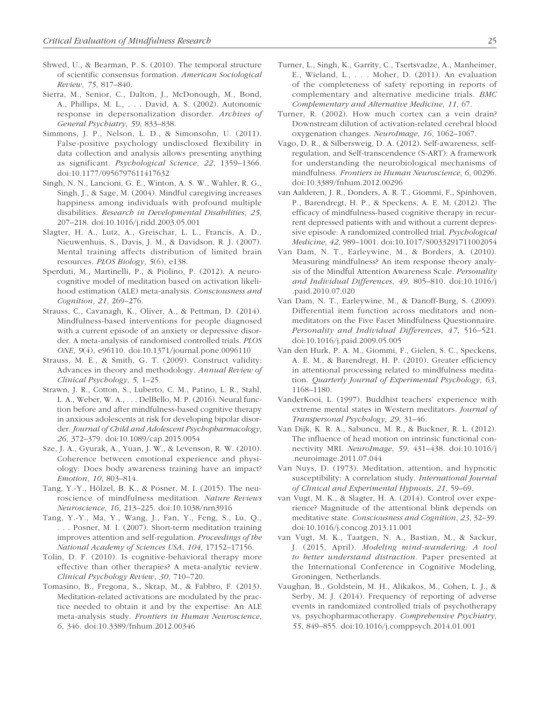- Shwed, U., & Bearman, P. S. (2010). The temporal structure of scientific consensus formation. *American Sociological Review*, *75*, 817–840.
- Sierra, M., Senior, C., Dalton, J., McDonough, M., Bond, A., Phillips, M. L., . . . David, A. S. (2002). Autonomic response in depersonalization disorder. *Archives of General Psychiatry*, *59*, 833–838.
- Simmons, J. P., Nelson, L. D., & Simonsohn, U. (2011). False-positive psychology undisclosed flexibility in data collection and analysis allows presenting anything as significant. *Psychological Science*, *22*, 1359–1366. doi:10.1177/0956797611417632
- Singh, N. N., Lancioni, G. E., Winton, A. S. W., Wahler, R. G., Singh, J., & Sage, M. (2004). Mindful caregiving increases happiness among individuals with profound multiple disabilities. *Research in Developmental Disabilities*, *25*, 207–218. doi:10.1016/j.ridd.2003.05.001
- Slagter, H. A., Lutz, A., Greischar, L. L., Francis, A. D., Nieuwenhuis, S., Davis, J. M., & Davidson, R. J. (2007). Mental training affects distribution of limited brain resources. *PLOS Biology*, *5*(6), e138.
- Sperduti, M., Martinelli, P., & Piolino, P. (2012). A neurocognitive model of meditation based on activation likelihood estimation (ALE) meta-analysis. *Consciousness and Cognition*, *21*, 269–276.
- Strauss, C., Cavanagh, K., Oliver, A., & Pettman, D. (2014). Mindfulness-based interventions for people diagnosed with a current episode of an anxiety or depressive disorder. A meta-analysis of randomised controlled trials. *PLOS ONE*, *9*(4), e96110. doi:10.1371/journal.pone.0096110
- Strauss, M. E., & Smith, G. T. (2009). Construct validity: Advances in theory and methodology. *Annual Review of Clinical Psychology*, *5*, 1–25.
- Strawn, J. R., Cotton, S., Luberto, C. M., Patino, L. R., Stahl, L. A., Weber, W. A., . . . DelBello, M. P. (2016). Neural function before and after mindfulness-based cognitive therapy in anxious adolescents at risk for developing bipolar disorder. *Journal of Child and Adolescent Psychopharmacology*, *26*, 372–379. doi:10.1089/cap.2015.0054
- Sze, J. A., Gyurak, A., Yuan, J. W., & Levenson, R. W. (2010). Coherence between emotional experience and physiology: Does body awareness training have an impact? *Emotion*, *10*, 803–814.
- Tang, Y.-Y., Hölzel, B. K., & Posner, M. I. (2015). The neuroscience of mindfulness meditation. *Nature Reviews Neuroscience*, *16*, 213–225. doi:10.1038/nrn3916
- Tang, Y.-Y., Ma, Y., Wang, J., Fan, Y., Feng, S., Lu, Q., . . . Posner, M. I. (2007). Short-term meditation training improves attention and self-regulation. *Proceedings of the National Academy of Sciences USA*, *104*, 17152–17156.
- Tolin, D. F. (2010). Is cognitive-behavioral therapy more effective than other therapies? A meta-analytic review. *Clinical Psychology Review*, *30*, 710–720.
- Tomasino, B., Fregona, S., Skrap, M., & Fabbro, F. (2013). Meditation-related activations are modulated by the practice needed to obtain it and by the expertise: An ALE meta-analysis study. *Frontiers in Human Neuroscience*, *6*, 346. doi:10.3389/fnhum.2012.00346
- Turner, L., Singh, K., Garrity, C., Tsertsvadze, A., Manheimer, E., Wieland, L., . . . Moher, D. (2011). An evaluation of the completeness of safety reporting in reports of complementary and alternative medicine trials. *BMC Complementary and Alternative Medicine*, *11*, 67.
- Turner, R. (2002). How much cortex can a vein drain? Downstream dilution of activation-related cerebral blood oxygenation changes. *NeuroImage*, *16*, 1062–1067.
- Vago, D. R., & Silbersweig, D. A. (2012). Self-awareness, selfregulation, and Self-transcendence (S-ART): A framework for understanding the neurobiological mechanisms of mindfulness. *Frontiers in Human Neuroscience*, *6*, 00296. doi:10.3389/fnhum.2012.00296
- van Aalderen, J. R., Donders, A. R. T., Giommi, F., Spinhoven, P., Barendregt, H. P., & Speckens, A. E. M. (2012). The efficacy of mindfulness-based cognitive therapy in recurrent depressed patients with and without a current depressive episode: A randomized controlled trial. *Psychological Medicine*, *42*, 989–1001. doi:10.1017/S0033291711002054
- Van Dam, N. T., Earleywine, M., & Borders, A. (2010). Measuring mindfulness? An item response theory analysis of the Mindful Attention Awareness Scale. *Personality and Individual Differences*, *49*, 805–810. doi:10.1016/j .paid.2010.07.020
- Van Dam, N. T., Earleywine, M., & Danoff-Burg, S. (2009). Differential item function across meditators and nonmeditators on the Five Facet Mindfulness Questionnaire. *Personality and Individual Differences*, *47*, 516–521. doi:10.1016/j.paid.2009.05.005
- Van den Hurk, P. A. M., Giommi, F., Gielen, S. C., Speckens, A. E. M., & Barendregt, H. P. (2010). Greater efficiency in attentional processing related to mindfulness meditation. *Quarterly Journal of Experimental Psychology*, *63*, 1168–1180.
- VanderKooi, L. (1997). Buddhist teachers' experience with extreme mental states in Western meditators. *Journal of Transpersonal Psychology*, *29*, 31–46.
- Van Dijk, K. R. A., Sabuncu, M. R., & Buckner, R. L. (2012). The influence of head motion on intrinsic functional connectivity MRI. *NeuroImage*, *59*, 431–438. doi:10.1016/j .neuroimage.2011.07.044
- Van Nuys, D. (1973). Meditation, attention, and hypnotic susceptibility: A correlation study. *International Journal of Clinical and Experimental Hypnosis*, *21*, 59–69.
- van Vugt, M. K., & Slagter, H. A. (2014). Control over experience? Magnitude of the attentional blink depends on meditative state. *Consciousness and Cognition*, *23*, 32–39. doi:10.1016/j.concog.2013.11.001
- van Vugt, M. K., Taatgen, N. A., Bastian, M., & Sackur, J. (2015, April). *Modeling mind-wandering: A tool to better understand distraction*. Paper presented at the International Conference in Cognitive Modeling*,*  Groningen, Netherlands.
- Vaughan, B., Goldstein, M. H., Alikakos, M., Cohen, L. J., & Serby, M. J. (2014). Frequency of reporting of adverse events in randomized controlled trials of psychotherapy vs. psychopharmacotherapy. *Comprehensive Psychiatry*, *55*, 849–855. doi:10.1016/j.comppsych.2014.01.001